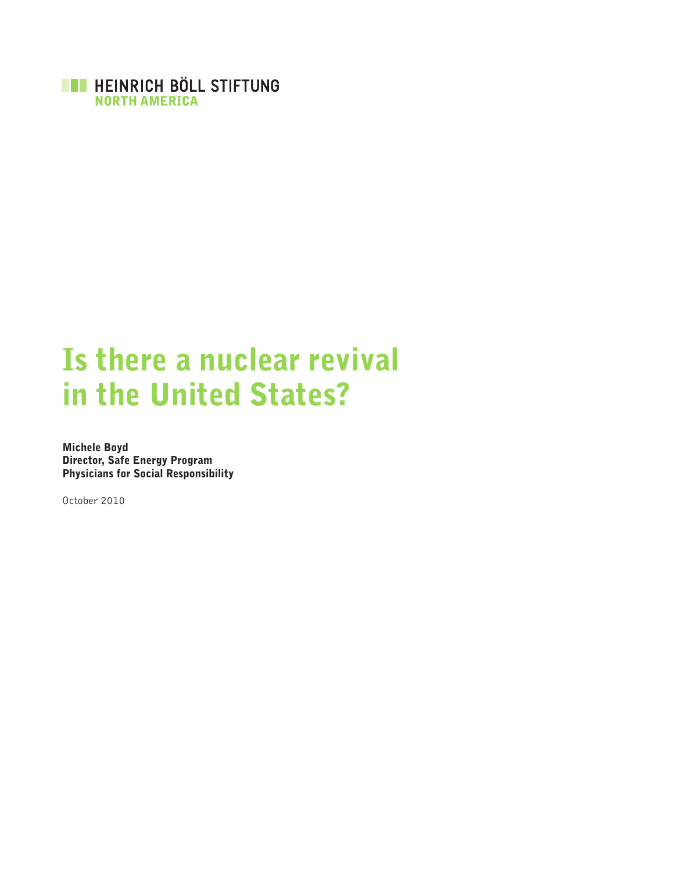

# Is there a nuclear revival in the United States?

Michele Boyd Director, Safe Energy Program Physicians for Social Responsibility

October 2010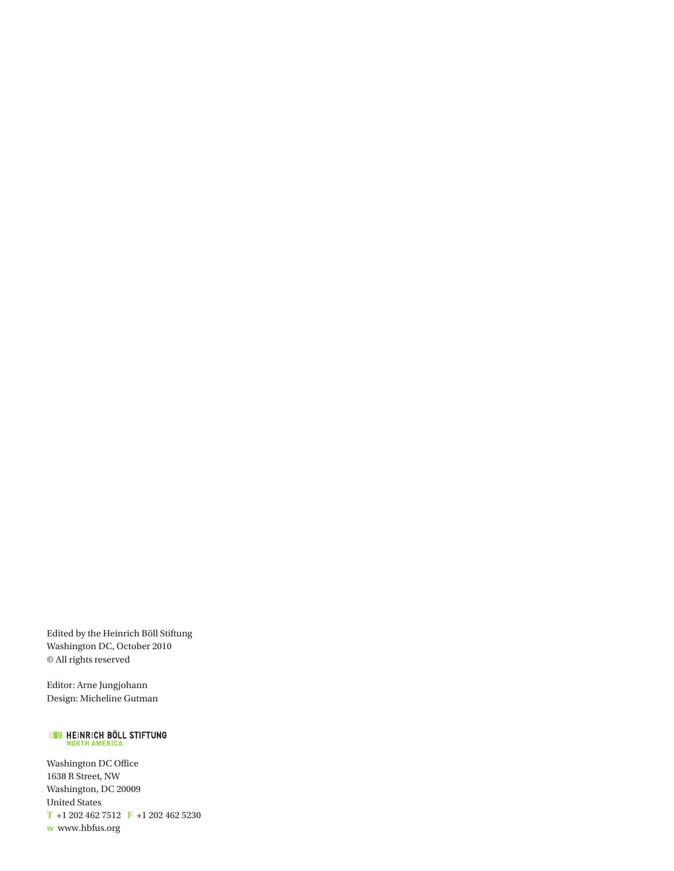Edited by the Heinrich Böll Stiftung Washington DC, October 2010 © All rights reserved

Editor: Arne Jungjohann Design: Micheline Gutman

# **EXECUTE HEINRICH BÖLL STIFTUNG**

Washington DC Office 1638 R Street, NW Washington, DC 20009 United States **T** +1 202 462 7512 **F** +1 202 462 5230 **w** www.hbfus.org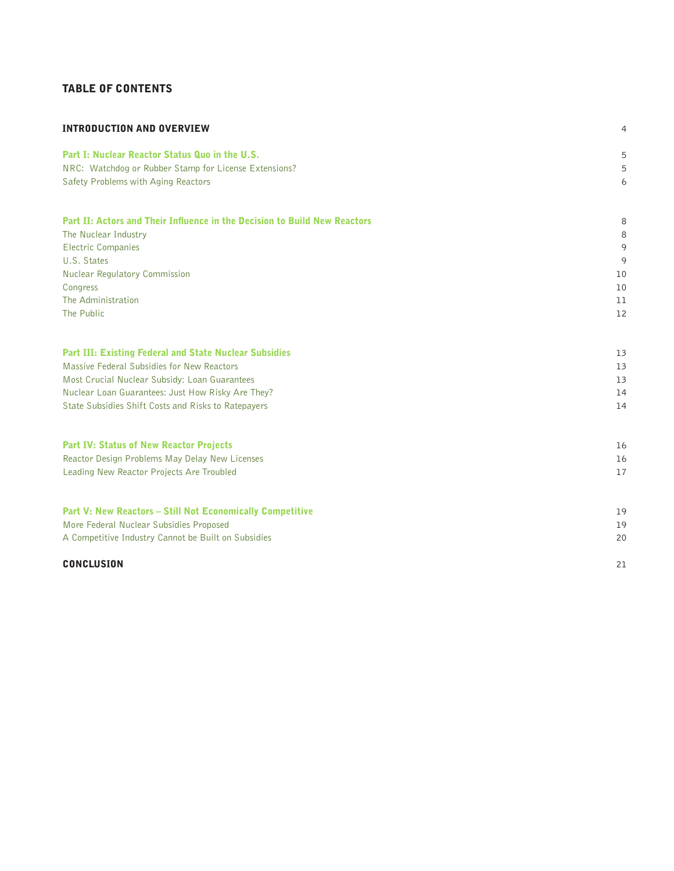# Table of Contents

| <b>INTRODUCTION AND OVERVIEW</b>                                          | 4  |
|---------------------------------------------------------------------------|----|
| Part I: Nuclear Reactor Status Quo in the U.S.                            | 5  |
| NRC: Watchdog or Rubber Stamp for License Extensions?                     | 5  |
| Safety Problems with Aging Reactors                                       | 6  |
| Part II: Actors and Their Influence in the Decision to Build New Reactors | 8  |
| The Nuclear Industry                                                      | 8  |
| <b>Electric Companies</b>                                                 | 9  |
| U.S. States                                                               | 9  |
| Nuclear Regulatory Commission                                             | 10 |
| Congress                                                                  | 10 |
| The Administration                                                        | 11 |
| The Public                                                                | 12 |
| <b>Part III: Existing Federal and State Nuclear Subsidies</b>             | 13 |
| Massive Federal Subsidies for New Reactors                                | 13 |
| Most Crucial Nuclear Subsidy: Loan Guarantees                             | 13 |
| Nuclear Loan Guarantees: Just How Risky Are They?                         | 14 |
| State Subsidies Shift Costs and Risks to Ratepayers                       | 14 |
| <b>Part IV: Status of New Reactor Projects</b>                            | 16 |
| Reactor Design Problems May Delay New Licenses                            | 16 |
| Leading New Reactor Projects Are Troubled                                 | 17 |
| <b>Part V: New Reactors – Still Not Economically Competitive</b>          | 19 |
| More Federal Nuclear Subsidies Proposed                                   | 19 |
| A Competitive Industry Cannot be Built on Subsidies                       | 20 |
| <b>CONCLUSION</b>                                                         | 21 |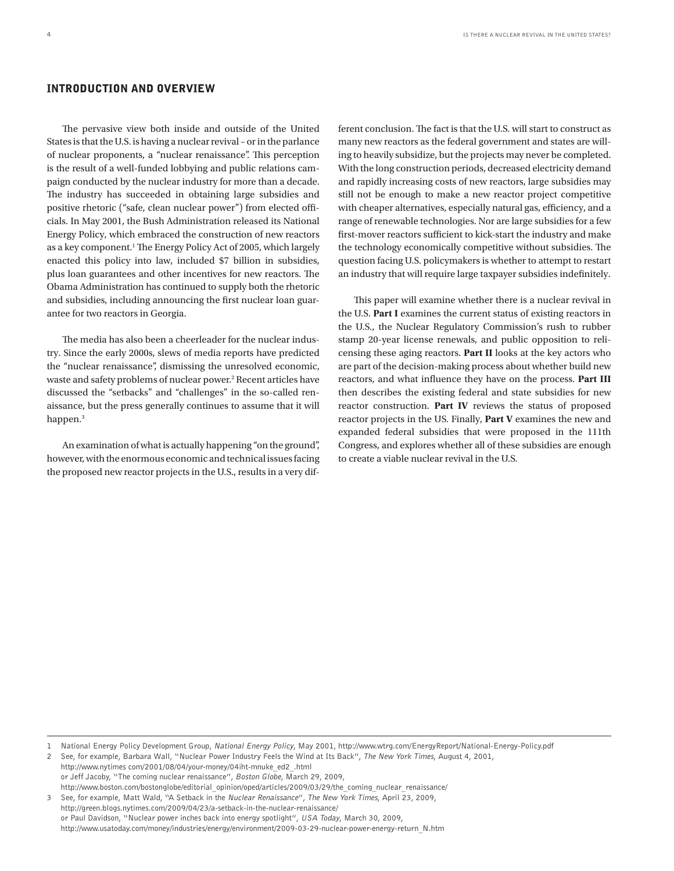# Introduction and Overview

The pervasive view both inside and outside of the United States is that the U.S. is having a nuclear revival – or in the parlance of nuclear proponents, a "nuclear renaissance". This perception is the result of a well-funded lobbying and public relations campaign conducted by the nuclear industry for more than a decade. The industry has succeeded in obtaining large subsidies and positive rhetoric ("safe, clean nuclear power") from elected officials. In May 2001, the Bush Administration released its National Energy Policy, which embraced the construction of new reactors as a key component.<sup>1</sup> The Energy Policy Act of 2005, which largely enacted this policy into law, included \$7 billion in subsidies, plus loan guarantees and other incentives for new reactors. The Obama Administration has continued to supply both the rhetoric and subsidies, including announcing the first nuclear loan guarantee for two reactors in Georgia.

The media has also been a cheerleader for the nuclear industry. Since the early 2000s, slews of media reports have predicted the "nuclear renaissance", dismissing the unresolved economic, waste and safety problems of nuclear power.<sup>2</sup> Recent articles have discussed the "setbacks" and "challenges" in the so-called renaissance, but the press generally continues to assume that it will happen.<sup>3</sup>

An examination of what is actually happening "on the ground", however, with the enormous economic and technical issues facing the proposed new reactor projects in the U.S., results in a very different conclusion. The fact is that the U.S. will start to construct as many new reactors as the federal government and states are willing to heavily subsidize, but the projects may never be completed. With the long construction periods, decreased electricity demand and rapidly increasing costs of new reactors, large subsidies may still not be enough to make a new reactor project competitive with cheaper alternatives, especially natural gas, efficiency, and a range of renewable technologies. Nor are large subsidies for a few first-mover reactors sufficient to kick-start the industry and make the technology economically competitive without subsidies. The question facing U.S. policymakers is whether to attempt to restart an industry that will require large taxpayer subsidies indefinitely.

This paper will examine whether there is a nuclear revival in the U.S. **Part I** examines the current status of existing reactors in the U.S., the Nuclear Regulatory Commission's rush to rubber stamp 20-year license renewals, and public opposition to relicensing these aging reactors. **Part II** looks at the key actors who are part of the decision-making process about whether build new reactors, and what influence they have on the process. **Part III** then describes the existing federal and state subsidies for new reactor construction. **Part IV** reviews the status of proposed reactor projects in the US. Finally, **Part V** examines the new and expanded federal subsidies that were proposed in the 111th Congress, and explores whether all of these subsidies are enough to create a viable nuclear revival in the U.S.

2 See, for example, Barbara Wall, "Nuclear Power Industry Feels the Wind at Its Back", The New York Times, August 4, 2001,

http://www.nytimes com/2001/08/04/your-money/04iht-mnuke\_ed2\_.html or Jeff Jacoby, "The coming nuclear renaissance", Boston Globe, March 29, 2009, http://www.boston.com/bostonglobe/editorial\_opinion/oped/articles/2009/03/29/the\_coming\_nuclear\_renaissance/

3 See, for example, Matt Wald, "A Setback in the Nuclear Renaissance", The New York Times, April 23, 2009, http://green.blogs.nytimes.com/2009/04/23/a-setback-in-the-nuclear-renaissance/ or Paul Davidson, "Nuclear power inches back into energy spotlight", USA Today, March 30, 2009, http://www.usatoday.com/money/industries/energy/environment/2009-03-29-nuclear-power-energy-return\_N.htm

<sup>1</sup> National Energy Policy Development Group, National Energy Policy, May 2001, http://www.wtrg.com/EnergyReport/National-Energy-Policy.pdf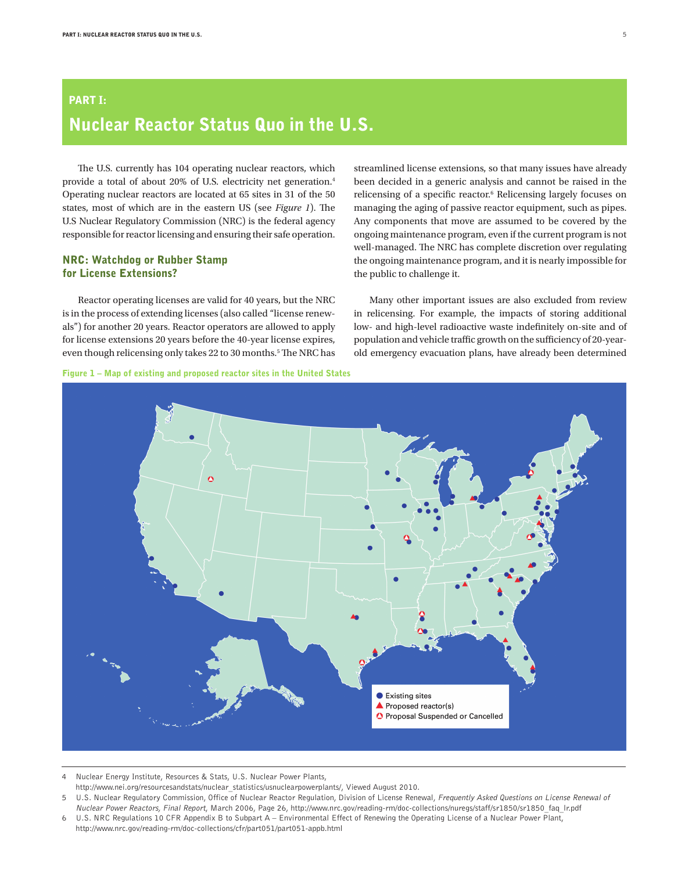# Part I: Nuclear Reactor Status Quo in the U.S.

The U.S. currently has 104 operating nuclear reactors, which provide a total of about 20% of U.S. electricity net generation.4 Operating nuclear reactors are located at 65 sites in 31 of the 50 states, most of which are in the eastern US (see *Figure 1*). The U.S Nuclear Regulatory Commission (NRC) is the federal agency responsible for reactor licensing and ensuring their safe operation.

# NRC: Watchdog or Rubber Stamp for License Extensions?

Reactor operating licenses are valid for 40 years, but the NRC is in the process of extending licenses (also called "license renewals") for another 20 years. Reactor operators are allowed to apply for license extensions 20 years before the 40-year license expires, even though relicensing only takes 22 to 30 months.<sup>5</sup> The NRC has streamlined license extensions, so that many issues have already been decided in a generic analysis and cannot be raised in the relicensing of a specific reactor.<sup>6</sup> Relicensing largely focuses on managing the aging of passive reactor equipment, such as pipes. Any components that move are assumed to be covered by the ongoing maintenance program, even if the current program is not well-managed. The NRC has complete discretion over regulating the ongoing maintenance program, and it is nearly impossible for the public to challenge it.

Many other important issues are also excluded from review in relicensing. For example, the impacts of storing additional low- and high-level radioactive waste indefinitely on-site and of population and vehicle traffic growth on the sufficiency of 20-yearold emergency evacuation plans, have already been determined



4 Nuclear Energy Institute, Resources & Stats, U.S. Nuclear Power Plants,

http://www.nei.org/resourcesandstats/nuclear\_statistics/usnuclearpowerplants/, Viewed August 2010.



<sup>5</sup> U.S. Nuclear Regulatory Commission, Office of Nuclear Reactor Regulation, Division of License Renewal, Frequently Asked Questions on License Renewal of Nuclear Power Reactors, Final Report, March 2006, Page 26, http://www.nrc.gov/reading-rm/doc-collections/nuregs/staff/sr1850/sr1850\_faq\_lr.pdf

<sup>6</sup> U.S. NRC Regulations 10 CFR Appendix B to Subpart A – Environmental Effect of Renewing the Operating License of a Nuclear Power Plant, http://www.nrc.gov/reading-rm/doc-collections/cfr/part051/part051-appb.html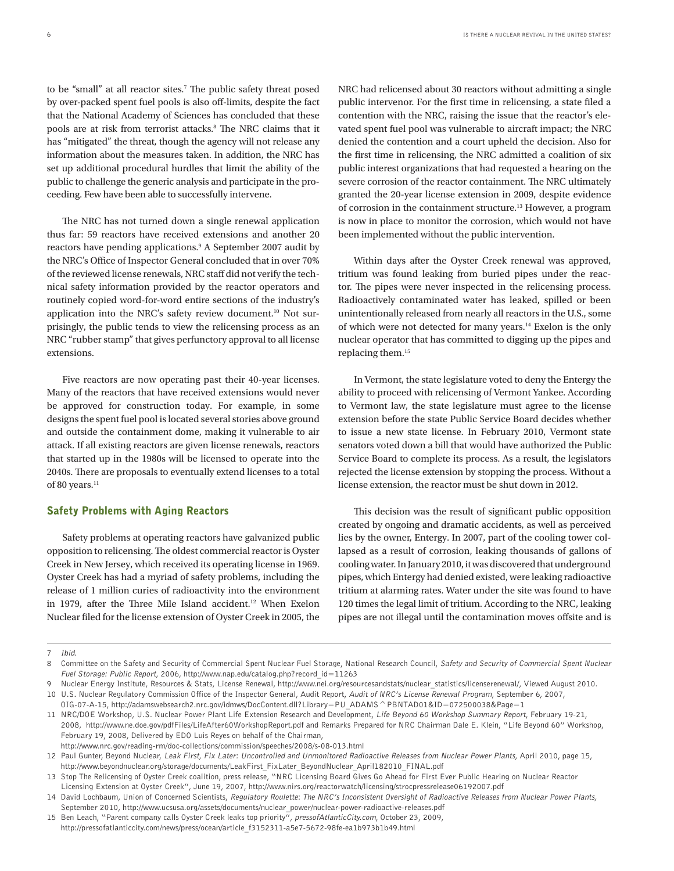to be "small" at all reactor sites.<sup>7</sup> The public safety threat posed by over-packed spent fuel pools is also off-limits, despite the fact that the National Academy of Sciences has concluded that these pools are at risk from terrorist attacks.<sup>8</sup> The NRC claims that it has "mitigated" the threat, though the agency will not release any information about the measures taken. In addition, the NRC has set up additional procedural hurdles that limit the ability of the public to challenge the generic analysis and participate in the proceeding. Few have been able to successfully intervene.

The NRC has not turned down a single renewal application thus far: 59 reactors have received extensions and another 20 reactors have pending applications.<sup>9</sup> A September 2007 audit by the NRC's Office of Inspector General concluded that in over 70% of the reviewed license renewals, NRC staff did not verify the technical safety information provided by the reactor operators and routinely copied word-for-word entire sections of the industry's application into the NRC's safety review document.<sup>10</sup> Not surprisingly, the public tends to view the relicensing process as an NRC "rubber stamp" that gives perfunctory approval to all license extensions.

Five reactors are now operating past their 40-year licenses. Many of the reactors that have received extensions would never be approved for construction today. For example, in some designs the spent fuel pool is located several stories above ground and outside the containment dome, making it vulnerable to air attack. If all existing reactors are given license renewals, reactors that started up in the 1980s will be licensed to operate into the 2040s. There are proposals to eventually extend licenses to a total of 80 years.<sup>11</sup>

#### Safety Problems with Aging Reactors

Safety problems at operating reactors have galvanized public opposition to relicensing. The oldest commercial reactor is Oyster Creek in New Jersey, which received its operating license in 1969. Oyster Creek has had a myriad of safety problems, including the release of 1 million curies of radioactivity into the environment in 1979, after the Three Mile Island accident.<sup>12</sup> When Exelon Nuclear filed for the license extension of Oyster Creek in 2005, the

NRC had relicensed about 30 reactors without admitting a single public intervenor. For the first time in relicensing, a state filed a contention with the NRC, raising the issue that the reactor's elevated spent fuel pool was vulnerable to aircraft impact; the NRC denied the contention and a court upheld the decision. Also for the first time in relicensing, the NRC admitted a coalition of six public interest organizations that had requested a hearing on the severe corrosion of the reactor containment. The NRC ultimately granted the 20-year license extension in 2009, despite evidence of corrosion in the containment structure.13 However, a program is now in place to monitor the corrosion, which would not have been implemented without the public intervention.

Within days after the Oyster Creek renewal was approved, tritium was found leaking from buried pipes under the reactor. The pipes were never inspected in the relicensing process. Radioactively contaminated water has leaked, spilled or been unintentionally released from nearly all reactors in the U.S., some of which were not detected for many years.14 Exelon is the only nuclear operator that has committed to digging up the pipes and replacing them.15

In Vermont, the state legislature voted to deny the Entergy the ability to proceed with relicensing of Vermont Yankee. According to Vermont law, the state legislature must agree to the license extension before the state Public Service Board decides whether to issue a new state license. In February 2010, Vermont state senators voted down a bill that would have authorized the Public Service Board to complete its process. As a result, the legislators rejected the license extension by stopping the process. Without a license extension, the reactor must be shut down in 2012.

This decision was the result of significant public opposition created by ongoing and dramatic accidents, as well as perceived lies by the owner, Entergy. In 2007, part of the cooling tower collapsed as a result of corrosion, leaking thousands of gallons of cooling water. In January 2010, it was discovered that underground pipes, which Entergy had denied existed, were leaking radioactive tritium at alarming rates. Water under the site was found to have 120 times the legal limit of tritium. According to the NRC, leaking pipes are not illegal until the contamination moves offsite and is

<sup>7</sup> Ibid.

<sup>8</sup> Committee on the Safety and Security of Commercial Spent Nuclear Fuel Storage, National Research Council, Safety and Security of Commercial Spent Nuclear Fuel Storage: Public Report, 2006, http://www.nap.edu/catalog.php?record\_id=11263

Nuclear Energy Institute, Resources & Stats, License Renewal, http://www.nei.org/resourcesandstats/nuclear\_statistics/licenserenewal/, Viewed August 2010. 10 U.S. Nuclear Regulatory Commission Office of the Inspector General, Audit Report, Audit of NRC's License Renewal Program, September 6, 2007,

OIG-07-A-15, http://adamswebsearch2.nrc.gov/idmws/DocContent.dll?Library=PU\_ADAMS^PBNTAD01&ID=072500038&Page=1

<sup>11</sup> NRC/DOE Workshop, U.S. Nuclear Power Plant Life Extension Research and Development, Life Beyond 60 Workshop Summary Report, February 19-21, 2008, http://www.ne.doe.gov/pdfFiles/LifeAfter60WorkshopReport.pdf and Remarks Prepared for NRC Chairman Dale E. Klein, "Life Beyond 60" Workshop, February 19, 2008, Delivered by EDO Luis Reyes on behalf of the Chairman,

http://www.nrc.gov/reading-rm/doc-collections/commission/speeches/2008/s-08-013.html

<sup>12</sup> Paul Gunter, Beyond Nuclear, Leak First, Fix Later: Uncontrolled and Unmonitored Radioactive Releases from Nuclear Power Plants, April 2010, page 15, http://www.beyondnuclear.org/storage/documents/LeakFirst\_FixLater\_BeyondNuclear\_April182010\_FINAL.pdf

<sup>13</sup> Stop The Relicensing of Oyster Creek coalition, press release, "NRC Licensing Board Gives Go Ahead for First Ever Public Hearing on Nuclear Reactor Licensing Extension at Oyster Creek", June 19, 2007, http://www.nirs.org/reactorwatch/licensing/strocpressrelease06192007.pdf

<sup>14</sup> David Lochbaum, Union of Concerned Scientists, Regulatory Roulette: The NRC's Inconsistent Oversight of Radioactive Releases from Nuclear Power Plants, September 2010, http://www.ucsusa.org/assets/documents/nuclear\_power/nuclear-power-radioactive-releases.pdf

<sup>15</sup> Ben Leach, "Parent company calls Oyster Creek leaks top priority", pressofAtlanticCity.com, October 23, 2009, http://pressofatlanticcity.com/news/press/ocean/article\_f3152311-a5e7-5672-98fe-ea1b973b1b49.html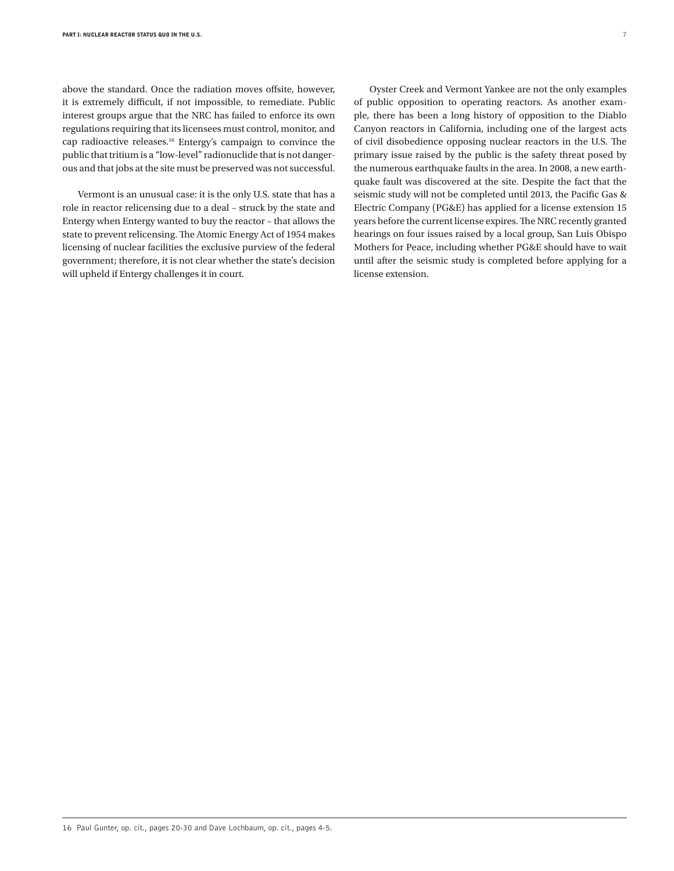above the standard. Once the radiation moves offsite, however, it is extremely difficult, if not impossible, to remediate. Public interest groups argue that the NRC has failed to enforce its own regulations requiring that its licensees must control, monitor, and cap radioactive releases.16 Entergy's campaign to convince the public that tritium is a "low-level" radionuclide that is not dangerous and that jobs at the site must be preserved was not successful.

Vermont is an unusual case: it is the only U.S. state that has a role in reactor relicensing due to a deal – struck by the state and Entergy when Entergy wanted to buy the reactor – that allows the state to prevent relicensing. The Atomic Energy Act of 1954 makes licensing of nuclear facilities the exclusive purview of the federal government; therefore, it is not clear whether the state's decision will upheld if Entergy challenges it in court.

Oyster Creek and Vermont Yankee are not the only examples of public opposition to operating reactors. As another example, there has been a long history of opposition to the Diablo Canyon reactors in California, including one of the largest acts of civil disobedience opposing nuclear reactors in the U.S. The primary issue raised by the public is the safety threat posed by the numerous earthquake faults in the area. In 2008, a new earthquake fault was discovered at the site. Despite the fact that the seismic study will not be completed until 2013, the Pacific Gas & Electric Company (PG&E) has applied for a license extension 15 years before the current license expires. The NRC recently granted hearings on four issues raised by a local group, San Luis Obispo Mothers for Peace, including whether PG&E should have to wait until after the seismic study is completed before applying for a license extension.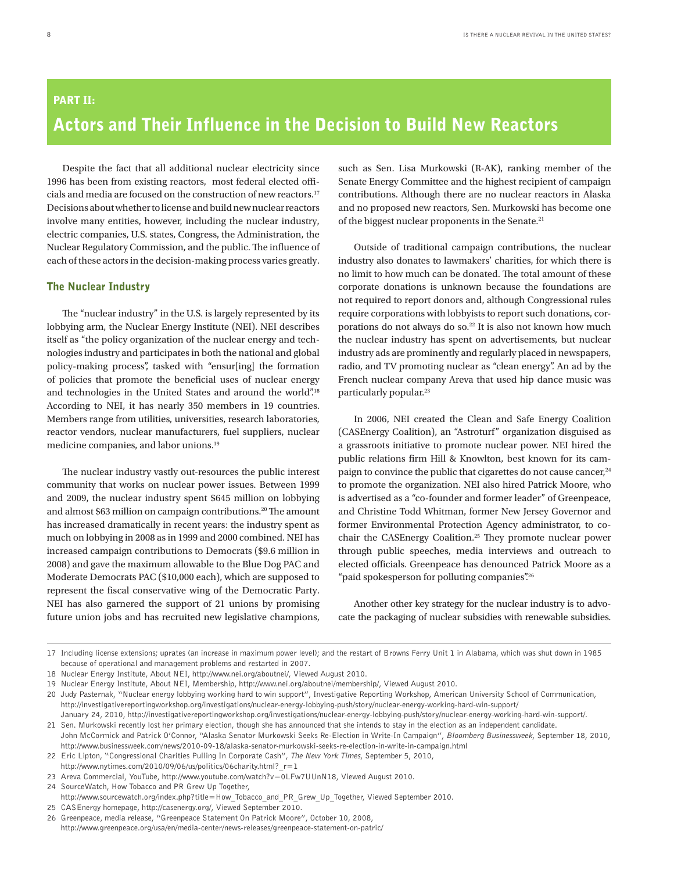# Part II: Actors and Their Influence in the Decision to Build New Reactors

Despite the fact that all additional nuclear electricity since 1996 has been from existing reactors, most federal elected officials and media are focused on the construction of new reactors.<sup>17</sup> Decisions about whether to license and build new nuclear reactors involve many entities, however, including the nuclear industry, electric companies, U.S. states, Congress, the Administration, the Nuclear Regulatory Commission, and the public. The influence of each of these actors in the decision-making process varies greatly.

# The Nuclear Industry

The "nuclear industry" in the U.S. is largely represented by its lobbying arm, the Nuclear Energy Institute (NEI). NEI describes itself as "the policy organization of the nuclear energy and technologies industry and participates in both the national and global policy-making process", tasked with "ensur[ing] the formation of policies that promote the beneficial uses of nuclear energy and technologies in the United States and around the world".<sup>18</sup> According to NEI, it has nearly 350 members in 19 countries. Members range from utilities, universities, research laboratories, reactor vendors, nuclear manufacturers, fuel suppliers, nuclear medicine companies, and labor unions.19

The nuclear industry vastly out-resources the public interest community that works on nuclear power issues. Between 1999 and 2009, the nuclear industry spent \$645 million on lobbying and almost \$63 million on campaign contributions.<sup>20</sup> The amount has increased dramatically in recent years: the industry spent as much on lobbying in 2008 as in 1999 and 2000 combined. NEI has increased campaign contributions to Democrats (\$9.6 million in 2008) and gave the maximum allowable to the Blue Dog PAC and Moderate Democrats PAC (\$10,000 each), which are supposed to represent the fiscal conservative wing of the Democratic Party. NEI has also garnered the support of 21 unions by promising future union jobs and has recruited new legislative champions, such as Sen. Lisa Murkowski (R-AK), ranking member of the Senate Energy Committee and the highest recipient of campaign contributions. Although there are no nuclear reactors in Alaska and no proposed new reactors, Sen. Murkowski has become one of the biggest nuclear proponents in the Senate.21

Outside of traditional campaign contributions, the nuclear industry also donates to lawmakers' charities, for which there is no limit to how much can be donated. The total amount of these corporate donations is unknown because the foundations are not required to report donors and, although Congressional rules require corporations with lobbyists to report such donations, corporations do not always do so.<sup>22</sup> It is also not known how much the nuclear industry has spent on advertisements, but nuclear industry ads are prominently and regularly placed in newspapers, radio, and TV promoting nuclear as "clean energy". An ad by the French nuclear company Areva that used hip dance music was particularly popular.<sup>23</sup>

In 2006, NEI created the Clean and Safe Energy Coalition (CASEnergy Coalition), an "Astroturf" organization disguised as a grassroots initiative to promote nuclear power. NEI hired the public relations firm Hill & Knowlton, best known for its campaign to convince the public that cigarettes do not cause cancer,<sup>24</sup> to promote the organization. NEI also hired Patrick Moore, who is advertised as a "co-founder and former leader" of Greenpeace, and Christine Todd Whitman, former New Jersey Governor and former Environmental Protection Agency administrator, to cochair the CASEnergy Coalition.<sup>25</sup> They promote nuclear power through public speeches, media interviews and outreach to elected officials. Greenpeace has denounced Patrick Moore as a "paid spokesperson for polluting companies".26

Another other key strategy for the nuclear industry is to advocate the packaging of nuclear subsidies with renewable subsidies.

<sup>17</sup> Including license extensions; uprates (an increase in maximum power level); and the restart of Browns Ferry Unit 1 in Alabama, which was shut down in 1985 because of operational and management problems and restarted in 2007.

<sup>18</sup> Nuclear Energy Institute, About NEI, http://www.nei.org/aboutnei/, Viewed August 2010.

<sup>19</sup> Nuclear Energy Institute, About NEI, Membership, http://www.nei.org/aboutnei/membership/, Viewed August 2010.

<sup>20</sup> Judy Pasternak, "Nuclear energy lobbying working hard to win support", Investigative Reporting Workshop, American University School of Communication, http://investigativereportingworkshop.org/investigations/nuclear-energy-lobbying-push/story/nuclear-energy-working-hard-win-support/ January 24, 2010, http://investigativereportingworkshop.org/investigations/nuclear-energy-lobbying-push/story/nuclear-energy-working-hard-win-support/.

<sup>21</sup> Sen. Murkowski recently lost her primary election, though she has announced that she intends to stay in the election as an independent candidate. John McCormick and Patrick O'Connor, "Alaska Senator Murkowski Seeks Re-Election in Write-In Campaign", Bloomberg Businessweek, September 18, 2010, http://www.businessweek.com/news/2010-09-18/alaska-senator-murkowski-seeks-re-election-in-write-in-campaign.html

<sup>22</sup> Eric Lipton, "Congressional Charities Pulling In Corporate Cash", The New York Times, September 5, 2010,

http://www.nytimes.com/2010/09/06/us/politics/06charity.html?  $r=1$ 

<sup>23</sup> Areva Commercial, YouTube, http://www.youtube.com/watch?v=0LFw7UUnN18, Viewed August 2010.

<sup>24</sup> SourceWatch, How Tobacco and PR Grew Up Together,

http://www.sourcewatch.org/index.php?title=How\_Tobacco\_and\_PR\_Grew\_Up\_Together, Viewed September 2010.

<sup>25</sup> CASEnergy homepage, http://casenergy.org/, Viewed September 2010.

<sup>26</sup> Greenpeace, media release, "Greenpeace Statement On Patrick Moore", October 10, 2008, http://www.greenpeace.org/usa/en/media-center/news-releases/greenpeace-statement-on-patric/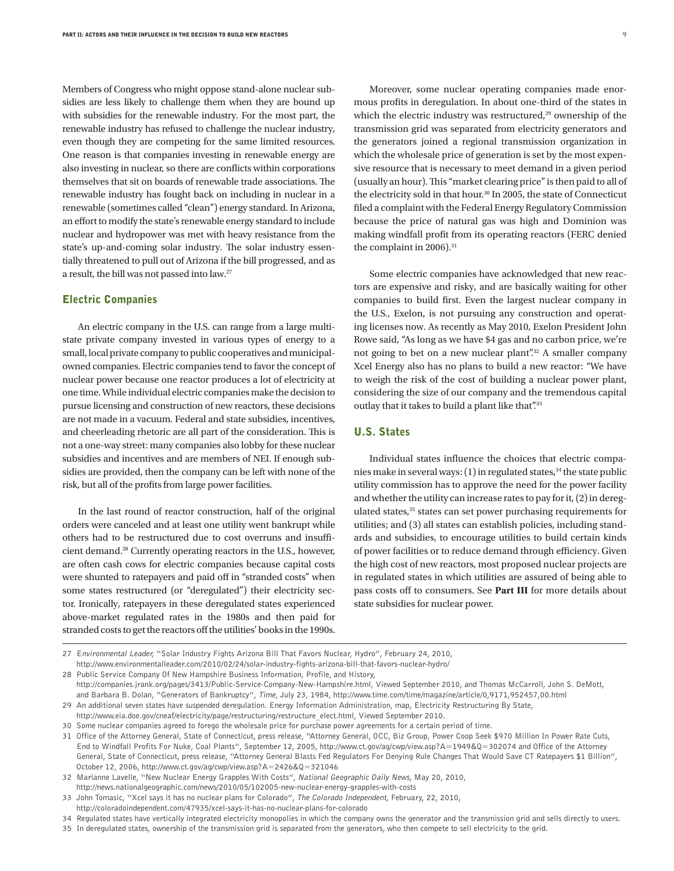Members of Congress who might oppose stand-alone nuclear subsidies are less likely to challenge them when they are bound up with subsidies for the renewable industry. For the most part, the renewable industry has refused to challenge the nuclear industry, even though they are competing for the same limited resources. One reason is that companies investing in renewable energy are also investing in nuclear, so there are conflicts within corporations themselves that sit on boards of renewable trade associations. The renewable industry has fought back on including in nuclear in a renewable (sometimes called "clean") energy standard. In Arizona, an effort to modify the state's renewable energy standard to include nuclear and hydropower was met with heavy resistance from the state's up-and-coming solar industry. The solar industry essentially threatened to pull out of Arizona if the bill progressed, and as a result, the bill was not passed into law.27

### Electric Companies

An electric company in the U.S. can range from a large multistate private company invested in various types of energy to a small, local private company to public cooperatives and municipalowned companies. Electric companies tend to favor the concept of nuclear power because one reactor produces a lot of electricity at one time. While individual electric companies make the decision to pursue licensing and construction of new reactors, these decisions are not made in a vacuum. Federal and state subsidies, incentives, and cheerleading rhetoric are all part of the consideration. This is not a one-way street: many companies also lobby for these nuclear subsidies and incentives and are members of NEI. If enough subsidies are provided, then the company can be left with none of the risk, but all of the profits from large power facilities.

In the last round of reactor construction, half of the original orders were canceled and at least one utility went bankrupt while others had to be restructured due to cost overruns and insufficient demand.28 Currently operating reactors in the U.S., however, are often cash cows for electric companies because capital costs were shunted to ratepayers and paid off in "stranded costs" when some states restructured (or "deregulated") their electricity sector. Ironically, ratepayers in these deregulated states experienced above-market regulated rates in the 1980s and then paid for stranded costs to get the reactors off the utilities' books in the 1990s.

Moreover, some nuclear operating companies made enormous profits in deregulation. In about one-third of the states in which the electric industry was restructured,<sup>29</sup> ownership of the transmission grid was separated from electricity generators and the generators joined a regional transmission organization in which the wholesale price of generation is set by the most expensive resource that is necessary to meet demand in a given period (usually an hour). This "market clearing price" is then paid to all of the electricity sold in that hour.<sup>30</sup> In 2005, the state of Connecticut filed a complaint with the Federal Energy Regulatory Commission because the price of natural gas was high and Dominion was making windfall profit from its operating reactors (FERC denied the complaint in 2006).<sup>31</sup>

Some electric companies have acknowledged that new reactors are expensive and risky, and are basically waiting for other companies to build first. Even the largest nuclear company in the U.S., Exelon, is not pursuing any construction and operating licenses now. As recently as May 2010, Exelon President John Rowe said, "As long as we have \$4 gas and no carbon price, we're not going to bet on a new nuclear plant".32 A smaller company Xcel Energy also has no plans to build a new reactor: "We have to weigh the risk of the cost of building a nuclear power plant, considering the size of our company and the tremendous capital outlay that it takes to build a plant like that".<sup>33</sup>

## U.S. States

Individual states influence the choices that electric companies make in several ways: (1) in regulated states,<sup>34</sup> the state public utility commission has to approve the need for the power facility and whether the utility can increase rates to pay for it, (2) in deregulated states,<sup>35</sup> states can set power purchasing requirements for utilities; and (3) all states can establish policies, including standards and subsidies, to encourage utilities to build certain kinds of power facilities or to reduce demand through efficiency. Given the high cost of new reactors, most proposed nuclear projects are in regulated states in which utilities are assured of being able to pass costs off to consumers. See **Part III** for more details about state subsidies for nuclear power.

28 Public Service Company Of New Hampshire Business Information, Profile, and History,

29 An additional seven states have suspended deregulation. Energy Information Administration, map, Electricity Restructuring By State, http://www.eia.doe.gov/cneaf/electricity/page/restructuring/restructure\_elect.html, Viewed September 2010.

31 Office of the Attorney General, State of Connecticut, press release, "Attorney General, OCC, Biz Group, Power Coop Seek \$970 Million In Power Rate Cuts, End to Windfall Profits For Nuke, Coal Plants", September 12, 2005, http://www.ct.gov/ag/cwp/view.asp?A=1949&Q=302074 and Office of the Attorney General, State of Connecticut, press release, "Attorney General Blasts Fed Regulators For Denying Rule Changes That Would Save CT Ratepayers \$1 Billion", October 12, 2006, http://www.ct.gov/ag/cwp/view.asp?A=2426&Q=321046

32 Marianne Lavelle, "New Nuclear Energy Grapples With Costs", National Geographic Daily News, May 20, 2010,

http://news.nationalgeographic.com/news/2010/05/102005-new-nuclear-energy-grapples-with-costs

<sup>27</sup> Environmental Leader, "Solar Industry Fights Arizona Bill That Favors Nuclear, Hydro", February 24, 2010, http://www.environmentalleader.com/2010/02/24/solar-industry-fights-arizona-bill-that-favors-nuclear-hydro/

http://companies.jrank.org/pages/3413/Public-Service-Company-New-Hampshire.html, Viewed September 2010, and Thomas McCarroll, John S. DeMott, and Barbara B. Dolan, "Generators of Bankruptcy", Time, July 23, 1984, http://www.time.com/time/magazine/article/0,9171,952457,00.html

<sup>30</sup> Some nuclear companies agreed to forego the wholesale price for purchase power agreements for a certain period of time.

<sup>33</sup> John Tomasic, "Xcel says it has no nuclear plans for Colorado", The Colorado Independent, February, 22, 2010,

http://coloradoindependent.com/47935/xcel-says-it-has-no-nuclear-plans-for-colorado

<sup>34</sup> Regulated states have vertically integrated electricity monopolies in which the company owns the generator and the transmission grid and sells directly to users.

<sup>35</sup> In deregulated states, ownership of the transmission grid is separated from the generators, who then compete to sell electricity to the grid.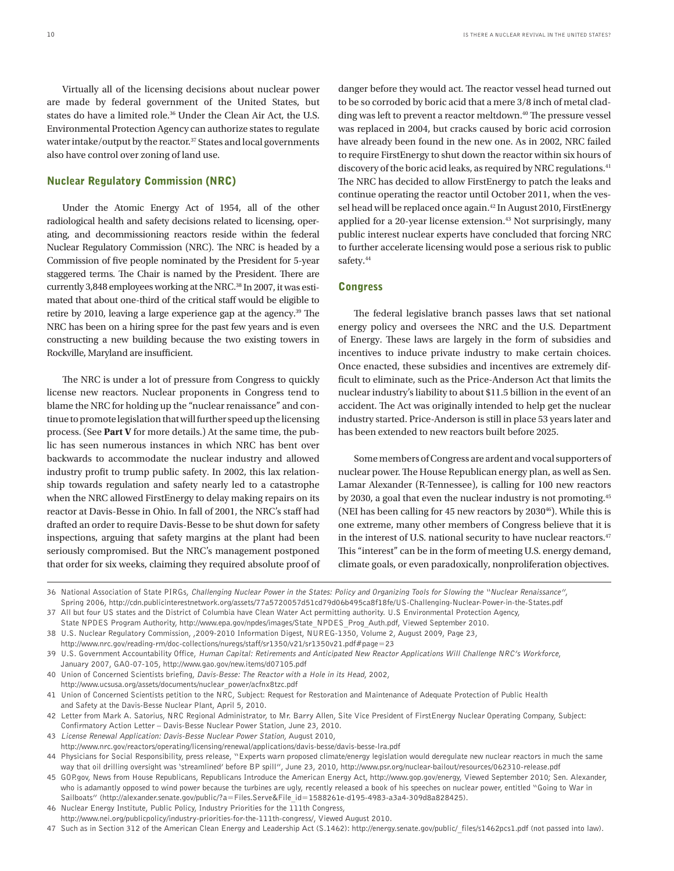Virtually all of the licensing decisions about nuclear power are made by federal government of the United States, but states do have a limited role.36 Under the Clean Air Act, the U.S. Environmental Protection Agency can authorize states to regulate water intake/output by the reactor.<sup>37</sup> States and local governments also have control over zoning of land use.

# Nuclear Regulatory Commission (NRC)

Under the Atomic Energy Act of 1954, all of the other radiological health and safety decisions related to licensing, operating, and decommissioning reactors reside within the federal Nuclear Regulatory Commission (NRC). The NRC is headed by a Commission of five people nominated by the President for 5-year staggered terms. The Chair is named by the President. There are currently 3,848 employees working at the NRC.<sup>38</sup> In 2007, it was estimated that about one-third of the critical staff would be eligible to retire by 2010, leaving a large experience gap at the agency.<sup>39</sup> The NRC has been on a hiring spree for the past few years and is even constructing a new building because the two existing towers in Rockville, Maryland are insufficient.

The NRC is under a lot of pressure from Congress to quickly license new reactors. Nuclear proponents in Congress tend to blame the NRC for holding up the "nuclear renaissance" and continue to promote legislation that will further speed up the licensing process. (See **Part V** for more details.) At the same time, the public has seen numerous instances in which NRC has bent over backwards to accommodate the nuclear industry and allowed industry profit to trump public safety. In 2002, this lax relationship towards regulation and safety nearly led to a catastrophe when the NRC allowed FirstEnergy to delay making repairs on its reactor at Davis-Besse in Ohio. In fall of 2001, the NRC's staff had drafted an order to require Davis-Besse to be shut down for safety inspections, arguing that safety margins at the plant had been seriously compromised. But the NRC's management postponed that order for six weeks, claiming they required absolute proof of

danger before they would act. The reactor vessel head turned out to be so corroded by boric acid that a mere 3/8 inch of metal cladding was left to prevent a reactor meltdown.<sup>40</sup> The pressure vessel was replaced in 2004, but cracks caused by boric acid corrosion have already been found in the new one. As in 2002, NRC failed to require FirstEnergy to shut down the reactor within six hours of discovery of the boric acid leaks, as required by NRC regulations.<sup>41</sup> The NRC has decided to allow FirstEnergy to patch the leaks and continue operating the reactor until October 2011, when the vessel head will be replaced once again.<sup>42</sup> In August 2010, FirstEnergy applied for a 20-year license extension.<sup>43</sup> Not surprisingly, many public interest nuclear experts have concluded that forcing NRC to further accelerate licensing would pose a serious risk to public safety.<sup>44</sup>

### **Congress**

The federal legislative branch passes laws that set national energy policy and oversees the NRC and the U.S. Department of Energy. These laws are largely in the form of subsidies and incentives to induce private industry to make certain choices. Once enacted, these subsidies and incentives are extremely difficult to eliminate, such as the Price-Anderson Act that limits the nuclear industry's liability to about \$11.5 billion in the event of an accident. The Act was originally intended to help get the nuclear industry started. Price-Anderson is still in place 53 years later and has been extended to new reactors built before 2025.

Some members of Congress are ardent and vocal supporters of nuclear power. The House Republican energy plan, as well as Sen. Lamar Alexander (R-Tennessee), is calling for 100 new reactors by 2030, a goal that even the nuclear industry is not promoting.45 (NEI has been calling for 45 new reactors by  $2030^{46}$ ). While this is one extreme, many other members of Congress believe that it is in the interest of U.S. national security to have nuclear reactors.<sup>47</sup> This "interest" can be in the form of meeting U.S. energy demand, climate goals, or even paradoxically, nonproliferation objectives.

46 Nuclear Energy Institute, Public Policy, Industry Priorities for the 111th Congress,

<sup>36</sup> National Association of State PIRGs, Challenging Nuclear Power in the States: Policy and Organizing Tools for Slowing the "Nuclear Renaissance", Spring 2006, http://cdn.publicinterestnetwork.org/assets/77a5720057d51cd79d06b495ca8f18fe/US-Challenging-Nuclear-Power-in-the-States.pdf

<sup>37</sup> All but four US states and the District of Columbia have Clean Water Act permitting authority. U.S Environmental Protection Agency, State NPDES Program Authority, http://www.epa.gov/npdes/images/State\_NPDES\_Prog\_Auth.pdf, Viewed September 2010.

<sup>38</sup> U.S. Nuclear Regulatory Commission, ,2009-2010 Information Digest, NUREG-1350, Volume 2, August 2009, Page 23,

http://www.nrc.gov/reading-rm/doc-collections/nuregs/staff/sr1350/v21/sr1350v21.pdf#page=23

<sup>39</sup> U.S. Government Accountability Office, Human Capital: Retirements and Anticipated New Reactor Applications Will Challenge NRC's Workforce, January 2007, GAO-07-105, http://www.gao.gov/new.items/d07105.pdf

<sup>40</sup> Union of Concerned Scientists briefing, Davis-Besse: The Reactor with a Hole in its Head, 2002, http://www.ucsusa.org/assets/documents/nuclear\_power/acfnx8tzc.pdf

<sup>41</sup> Union of Concerned Scientists petition to the NRC, Subject: Request for Restoration and Maintenance of Adequate Protection of Public Health and Safety at the Davis-Besse Nuclear Plant, April 5, 2010.

<sup>42</sup> Letter from Mark A. Satorius, NRC Regional Administrator, to Mr. Barry Allen, Site Vice President of FirstEnergy Nuclear Operating Company, Subject: Confirmatory Action Letter – Davis-Besse Nuclear Power Station, June 23, 2010.

<sup>43</sup> License Renewal Application: Davis-Besse Nuclear Power Station, August 2010,

http://www.nrc.gov/reactors/operating/licensing/renewal/applications/davis-besse/davis-besse-lra.pdf

<sup>44</sup> Physicians for Social Responsibility, press release, "Experts warn proposed climate/energy legislation would deregulate new nuclear reactors in much the same way that oil drilling oversight was 'streamlined' before BP spill", June 23, 2010, http://www.psr.org/nuclear-bailout/resources/062310-release.pdf

<sup>45</sup> GOP.gov, News from House Republicans, Republicans Introduce the American Energy Act, http://www.gop.gov/energy, Viewed September 2010; Sen. Alexander, who is adamantly opposed to wind power because the turbines are ugly, recently released a book of his speeches on nuclear power, entitled "Going to War in Sailboats" (http://alexander.senate.gov/public/?a=Files.Serve&File\_id=1588261e-d195-4983-a3a4-309d8a828425).

http://www.nei.org/publicpolicy/industry-priorities-for-the-111th-congress/, Viewed August 2010.

<sup>47</sup> Such as in Section 312 of the American Clean Energy and Leadership Act (S.1462): http://energy.senate.gov/public/\_files/s1462pcs1.pdf (not passed into law).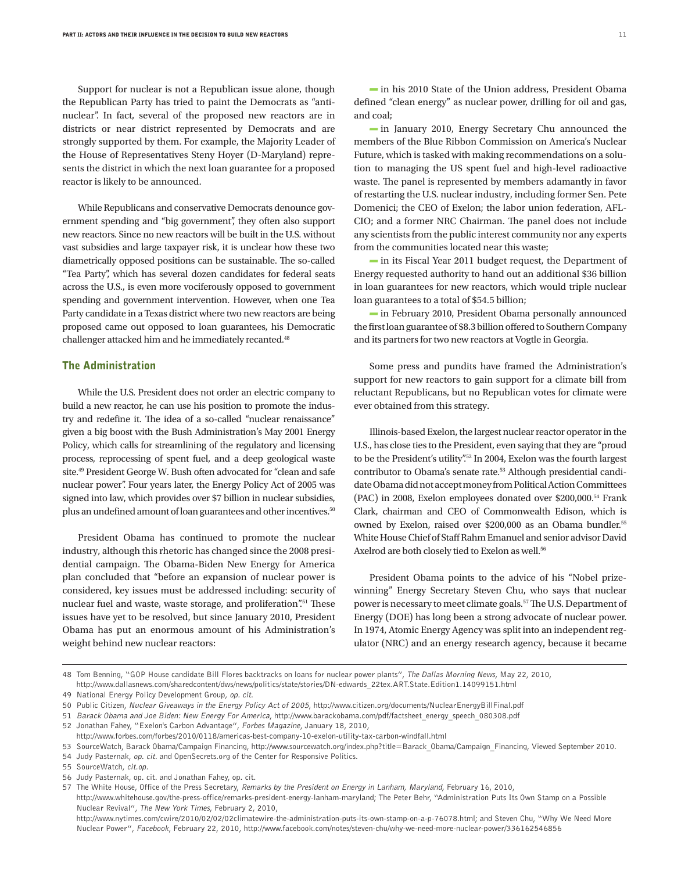Support for nuclear is not a Republican issue alone, though the Republican Party has tried to paint the Democrats as "antinuclear". In fact, several of the proposed new reactors are in districts or near district represented by Democrats and are strongly supported by them. For example, the Majority Leader of the House of Representatives Steny Hoyer (D-Maryland) represents the district in which the next loan guarantee for a proposed reactor is likely to be announced.

While Republicans and conservative Democrats denounce government spending and "big government", they often also support new reactors. Since no new reactors will be built in the U.S. without vast subsidies and large taxpayer risk, it is unclear how these two diametrically opposed positions can be sustainable. The so-called "Tea Party", which has several dozen candidates for federal seats across the U.S., is even more vociferously opposed to government spending and government intervention. However, when one Tea Party candidate in a Texas district where two new reactors are being proposed came out opposed to loan guarantees, his Democratic challenger attacked him and he immediately recanted.<sup>48</sup>

### The Administration

While the U.S. President does not order an electric company to build a new reactor, he can use his position to promote the industry and redefine it. The idea of a so-called "nuclear renaissance" given a big boost with the Bush Administration's May 2001 Energy Policy, which calls for streamlining of the regulatory and licensing process, reprocessing of spent fuel, and a deep geological waste site.49 President George W. Bush often advocated for "clean and safe nuclear power". Four years later, the Energy Policy Act of 2005 was signed into law, which provides over \$7 billion in nuclear subsidies, plus an undefined amount of loan guarantees and other incentives.<sup>50</sup>

President Obama has continued to promote the nuclear industry, although this rhetoric has changed since the 2008 presidential campaign. The Obama-Biden New Energy for America plan concluded that "before an expansion of nuclear power is considered, key issues must be addressed including: security of nuclear fuel and waste, waste storage, and proliferation".<sup>51</sup> These issues have yet to be resolved, but since January 2010, President Obama has put an enormous amount of his Administration's weight behind new nuclear reactors:

in his 2010 State of the Union address, President Obama defined "clean energy" as nuclear power, drilling for oil and gas, and coal;

 $\equiv$  in January 2010, Energy Secretary Chu announced the members of the Blue Ribbon Commission on America's Nuclear Future, which is tasked with making recommendations on a solution to managing the US spent fuel and high-level radioactive waste. The panel is represented by members adamantly in favor of restarting the U.S. nuclear industry, including former Sen. Pete Domenici; the CEO of Exelon; the labor union federation, AFL-CIO; and a former NRC Chairman. The panel does not include any scientists from the public interest community nor any experts from the communities located near this waste;

in its Fiscal Year 2011 budget request, the Department of Energy requested authority to hand out an additional \$36 billion in loan guarantees for new reactors, which would triple nuclear loan guarantees to a total of \$54.5 billion;

in February 2010, President Obama personally announced the first loan guarantee of \$8.3 billion offered to Southern Company and its partners for two new reactors at Vogtle in Georgia.

Some press and pundits have framed the Administration's support for new reactors to gain support for a climate bill from reluctant Republicans, but no Republican votes for climate were ever obtained from this strategy.

Illinois-based Exelon, the largest nuclear reactor operator in the U.S., has close ties to the President, even saying that they are "proud to be the President's utility".<sup>52</sup> In 2004, Exelon was the fourth largest contributor to Obama's senate rate.53 Although presidential candidate Obama did not accept money from Political Action Committees (PAC) in 2008, Exelon employees donated over \$200,000.54 Frank Clark, chairman and CEO of Commonwealth Edison, which is owned by Exelon, raised over \$200,000 as an Obama bundler.<sup>55</sup> White House Chief of Staff Rahm Emanuel and senior advisor David Axelrod are both closely tied to Exelon as well.<sup>56</sup>

President Obama points to the advice of his "Nobel prizewinning" Energy Secretary Steven Chu, who says that nuclear power is necessary to meet climate goals.<sup>57</sup> The U.S. Department of Energy (DOE) has long been a strong advocate of nuclear power. In 1974, Atomic Energy Agency was split into an independent regulator (NRC) and an energy research agency, because it became

49 National Energy Policy Development Group, op. cit.

56 Judy Pasternak, op. cit. and Jonathan Fahey, op. cit.

<sup>48</sup> Tom Benning, "GOP House candidate Bill Flores backtracks on loans for nuclear power plants", The Dallas Morning News, May 22, 2010, http://www.dallasnews.com/sharedcontent/dws/news/politics/state/stories/DN-edwards\_22tex.ART.State.Edition1.14099151.html

<sup>50</sup> Public Citizen, Nuclear Giveaways in the Energy Policy Act of 2005, http://www.citizen.org/documents/NuclearEnergyBillFinal.pdf

<sup>51</sup> Barack Obama and Joe Biden: New Energy For America, http://www.barackobama.com/pdf/factsheet\_energy\_speech\_080308.pdf

<sup>52</sup> Jonathan Fahey, "Exelon's Carbon Advantage", Forbes Magazine, January 18, 2010, http://www.forbes.com/forbes/2010/0118/americas-best-company-10-exelon-utility-tax-carbon-windfall.html

<sup>53</sup> SourceWatch, Barack Obama/Campaign Financing, http://www.sourcewatch.org/index.php?title=Barack\_Obama/Campaign\_Financing, Viewed September 2010.

<sup>54</sup> Judy Pasternak, op. cit. and OpenSecrets.org of the Center for Responsive Politics.

<sup>55</sup> SourceWatch, cit.op.

<sup>57</sup> The White House, Office of the Press Secretary, Remarks by the President on Energy in Lanham, Maryland, February 16, 2010, http://www.whitehouse.gov/the-press-office/remarks-president-energy-lanham-maryland; The Peter Behr, "Administration Puts Its Own Stamp on a Possible Nuclear Revival", The New York Times, February 2, 2010,

http://www.nytimes.com/cwire/2010/02/02/02climatewire-the-administration-puts-its-own-stamp-on-a-p-76078.html; and Steven Chu, "Why We Need More Nuclear Power", Facebook, February 22, 2010, http://www.facebook.com/notes/steven-chu/why-we-need-more-nuclear-power/336162546856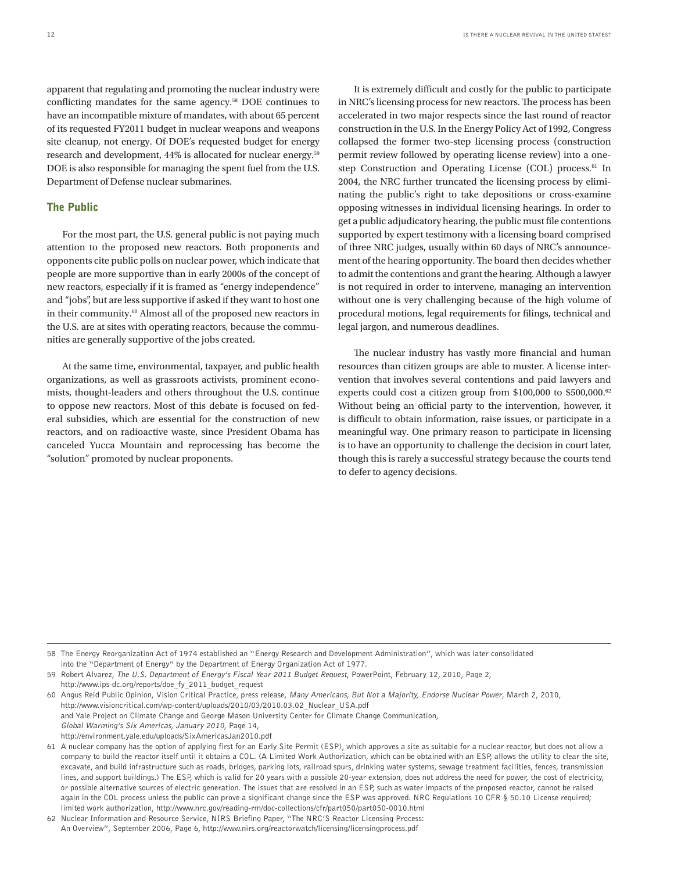apparent that regulating and promoting the nuclear industry were conflicting mandates for the same agency.<sup>58</sup> DOE continues to have an incompatible mixture of mandates, with about 65 percent of its requested FY2011 budget in nuclear weapons and weapons site cleanup, not energy. Of DOE's requested budget for energy research and development, 44% is allocated for nuclear energy.59 DOE is also responsible for managing the spent fuel from the U.S. Department of Defense nuclear submarines.

# The Public

For the most part, the U.S. general public is not paying much attention to the proposed new reactors. Both proponents and opponents cite public polls on nuclear power, which indicate that people are more supportive than in early 2000s of the concept of new reactors, especially if it is framed as "energy independence" and "jobs", but are less supportive if asked if they want to host one in their community.60 Almost all of the proposed new reactors in the U.S. are at sites with operating reactors, because the communities are generally supportive of the jobs created.

At the same time, environmental, taxpayer, and public health organizations, as well as grassroots activists, prominent economists, thought-leaders and others throughout the U.S. continue to oppose new reactors. Most of this debate is focused on federal subsidies, which are essential for the construction of new reactors, and on radioactive waste, since President Obama has canceled Yucca Mountain and reprocessing has become the "solution" promoted by nuclear proponents.

It is extremely difficult and costly for the public to participate in NRC's licensing process for new reactors. The process has been accelerated in two major respects since the last round of reactor construction in the U.S. In the Energy Policy Act of 1992, Congress collapsed the former two-step licensing process (construction permit review followed by operating license review) into a onestep Construction and Operating License (COL) process.<sup>61</sup> In 2004, the NRC further truncated the licensing process by eliminating the public's right to take depositions or cross-examine opposing witnesses in individual licensing hearings. In order to get a public adjudicatory hearing, the public must file contentions supported by expert testimony with a licensing board comprised of three NRC judges, usually within 60 days of NRC's announcement of the hearing opportunity. The board then decides whether to admit the contentions and grant the hearing. Although a lawyer is not required in order to intervene, managing an intervention without one is very challenging because of the high volume of procedural motions, legal requirements for filings, technical and legal jargon, and numerous deadlines.

The nuclear industry has vastly more financial and human resources than citizen groups are able to muster. A license intervention that involves several contentions and paid lawyers and experts could cost a citizen group from \$100,000 to \$500,000.<sup>62</sup> Without being an official party to the intervention, however, it is difficult to obtain information, raise issues, or participate in a meaningful way. One primary reason to participate in licensing is to have an opportunity to challenge the decision in court later, though this is rarely a successful strategy because the courts tend to defer to agency decisions.

58 The Energy Reorganization Act of 1974 established an "Energy Research and Development Administration", which was later consolidated into the "Department of Energy" by the Department of Energy Organization Act of 1977.

59 Robert Alvarez, The U.S. Department of Energy's Fiscal Year 2011 Budget Request, PowerPoint, February 12, 2010, Page 2, http://www.ips-dc.org/reports/doe\_fy\_2011\_budget\_request

60 Angus Reid Public Opinion, Vision Critical Practice, press release, Many Americans, But Not a Majority, Endorse Nuclear Power, March 2, 2010, http://www.visioncritical.com/wp-content/uploads/2010/03/2010.03.02\_Nuclear\_USA.pdf and Yale Project on Climate Change and George Mason University Center for Climate Change Communication, Global Warming's Six Americas, January 2010, Page 14, http://environment.yale.edu/uploads/SixAmericasJan2010.pdf

61 A nuclear company has the option of applying first for an Early Site Permit (ESP), which approves a site as suitable for a nuclear reactor, but does not allow a company to build the reactor itself until it obtains a COL. (A Limited Work Authorization, which can be obtained with an ESP, allows the utility to clear the site, excavate, and build infrastructure such as roads, bridges, parking lots, railroad spurs, drinking water systems, sewage treatment facilities, fences, transmission lines, and support buildings.) The ESP, which is valid for 20 years with a possible 20-year extension, does not address the need for power, the cost of electricity, or possible alternative sources of electric generation. The issues that are resolved in an ESP, such as water impacts of the proposed reactor, cannot be raised again in the COL process unless the public can prove a significant change since the ESP was approved. NRC Regulations 10 CFR § 50.10 License required; limited work authorization, http://www.nrc.gov/reading-rm/doc-collections/cfr/part050/part050-0010.html

<sup>62</sup> Nuclear Information and Resource Service, NIRS Briefing Paper, "The NRC'S Reactor Licensing Process: An Overview", September 2006, Page 6, http://www.nirs.org/reactorwatch/licensing/licensingprocess.pdf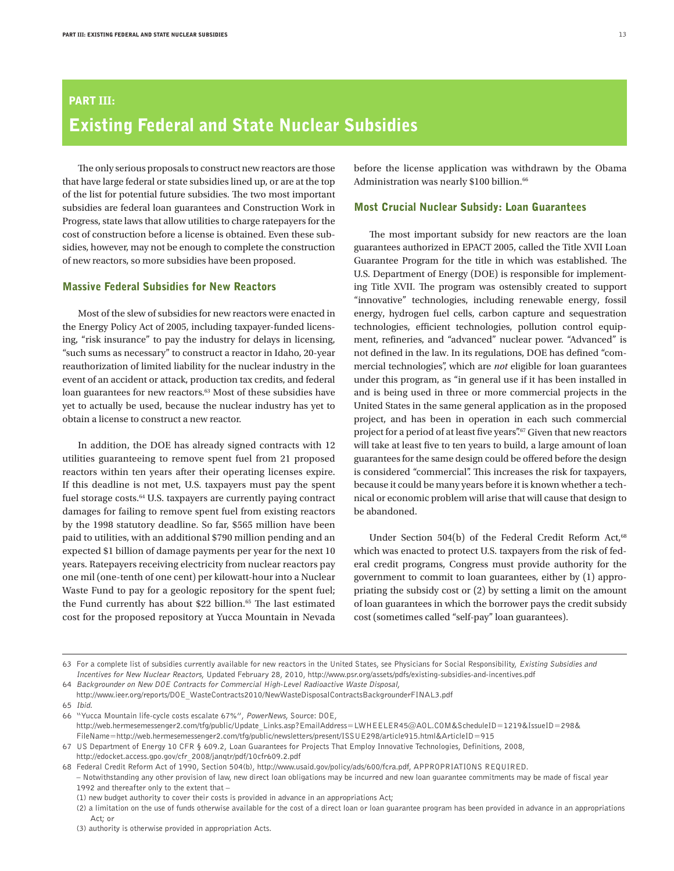# Part III: Existing Federal and State Nuclear Subsidies

The only serious proposals to construct new reactors are those that have large federal or state subsidies lined up, or are at the top of the list for potential future subsidies. The two most important subsidies are federal loan guarantees and Construction Work in Progress, state laws that allow utilities to charge ratepayers for the cost of construction before a license is obtained. Even these subsidies, however, may not be enough to complete the construction of new reactors, so more subsidies have been proposed.

# Massive Federal Subsidies for New Reactors

Most of the slew of subsidies for new reactors were enacted in the Energy Policy Act of 2005, including taxpayer-funded licensing, "risk insurance" to pay the industry for delays in licensing, "such sums as necessary" to construct a reactor in Idaho, 20-year reauthorization of limited liability for the nuclear industry in the event of an accident or attack, production tax credits, and federal loan guarantees for new reactors.<sup>63</sup> Most of these subsidies have yet to actually be used, because the nuclear industry has yet to obtain a license to construct a new reactor.

In addition, the DOE has already signed contracts with 12 utilities guaranteeing to remove spent fuel from 21 proposed reactors within ten years after their operating licenses expire. If this deadline is not met, U.S. taxpayers must pay the spent fuel storage costs.<sup>64</sup> U.S. taxpayers are currently paying contract damages for failing to remove spent fuel from existing reactors by the 1998 statutory deadline. So far, \$565 million have been paid to utilities, with an additional \$790 million pending and an expected \$1 billion of damage payments per year for the next 10 years. Ratepayers receiving electricity from nuclear reactors pay one mil (one-tenth of one cent) per kilowatt-hour into a Nuclear Waste Fund to pay for a geologic repository for the spent fuel; the Fund currently has about \$22 billion.<sup>65</sup> The last estimated cost for the proposed repository at Yucca Mountain in Nevada

before the license application was withdrawn by the Obama Administration was nearly \$100 billion.<sup>66</sup>

### Most Crucial Nuclear Subsidy: Loan Guarantees

The most important subsidy for new reactors are the loan guarantees authorized in EPACT 2005, called the Title XVII Loan Guarantee Program for the title in which was established. The U.S. Department of Energy (DOE) is responsible for implementing Title XVII. The program was ostensibly created to support "innovative" technologies, including renewable energy, fossil energy, hydrogen fuel cells, carbon capture and sequestration technologies, efficient technologies, pollution control equipment, refineries, and "advanced" nuclear power. "Advanced" is not defined in the law. In its regulations, DOE has defined "commercial technologies", which are *not* eligible for loan guarantees under this program, as "in general use if it has been installed in and is being used in three or more commercial projects in the United States in the same general application as in the proposed project, and has been in operation in each such commercial project for a period of at least five years".<sup>67</sup> Given that new reactors will take at least five to ten years to build, a large amount of loan guarantees for the same design could be offered before the design is considered "commercial". This increases the risk for taxpayers, because it could be many years before it is known whether a technical or economic problem will arise that will cause that design to be abandoned.

Under Section 504(b) of the Federal Credit Reform Act,<sup>68</sup> which was enacted to protect U.S. taxpayers from the risk of federal credit programs, Congress must provide authority for the government to commit to loan guarantees, either by (1) appropriating the subsidy cost or (2) by setting a limit on the amount of loan guarantees in which the borrower pays the credit subsidy cost (sometimes called "self-pay" loan guarantees).

65 Ibid.

<sup>63</sup> For a complete list of subsidies currently available for new reactors in the United States, see Physicians for Social Responsibility, Existing Subsidies and Incentives for New Nuclear Reactors, Updated February 28, 2010, http://www.psr.org/assets/pdfs/existing-subsidies-and-incentives.pdf

<sup>64</sup> Backgrounder on New DOE Contracts for Commercial High-Level Radioactive Waste Disposal,

http://www.ieer.org/reports/DOE\_WasteContracts2010/NewWasteDisposalContractsBackgrounderFINAL3.pdf

<sup>66</sup> "Yucca Mountain life-cycle costs escalate 67%", PowerNews, Source: DOE, http://web.hermesemessenger2.com/tfg/public/Update\_Links.asp?EmailAddress=LWHEELER45@AOL.COM&ScheduleID=1219&IssueID=298& FileName=http://web.hermesemessenger2.com/tfg/public/newsletters/present/ISSUE298/article915.html&ArticleID=915

<sup>67</sup> US Department of Energy 10 CFR § 609.2, Loan Guarantees for Projects That Employ Innovative Technologies, Definitions, 2008, http://edocket.access.gpo.gov/cfr\_2008/janqtr/pdf/10cfr609.2.pdf

<sup>68</sup> Federal Credit Reform Act of 1990, Section 504(b), http://www.usaid.gov/policy/ads/600/fcra.pdf, APPROPRIATIONS REQUIRED.

<sup>–</sup> Notwithstanding any other provision of law, new direct loan obligations may be incurred and new loan guarantee commitments may be made of fiscal year 1992 and thereafter only to the extent that –

<sup>(1)</sup> new budget authority to cover their costs is provided in advance in an appropriations Act;

<sup>(2)</sup> a limitation on the use of funds otherwise available for the cost of a direct loan or loan guarantee program has been provided in advance in an appropriations Act; or

<sup>(3)</sup> authority is otherwise provided in appropriation Acts.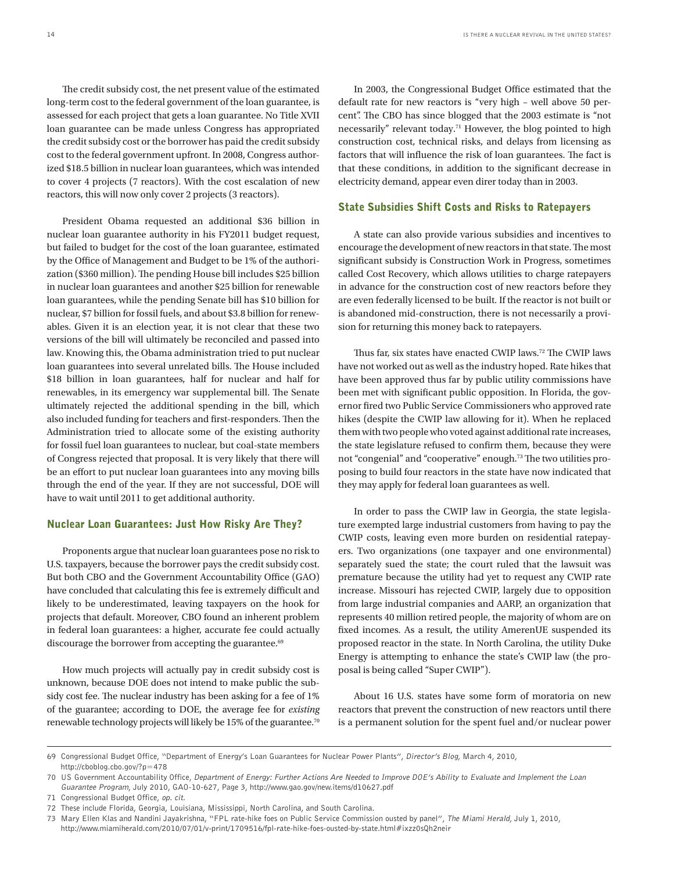The credit subsidy cost, the net present value of the estimated long-term cost to the federal government of the loan guarantee, is assessed for each project that gets a loan guarantee. No Title XVII loan guarantee can be made unless Congress has appropriated the credit subsidy cost or the borrower has paid the credit subsidy cost to the federal government upfront. In 2008, Congress authorized \$18.5 billion in nuclear loan guarantees, which was intended to cover 4 projects (7 reactors). With the cost escalation of new reactors, this will now only cover 2 projects (3 reactors).

President Obama requested an additional \$36 billion in nuclear loan guarantee authority in his FY2011 budget request, but failed to budget for the cost of the loan guarantee, estimated by the Office of Management and Budget to be 1% of the authorization (\$360 million). The pending House bill includes \$25 billion in nuclear loan guarantees and another \$25 billion for renewable loan guarantees, while the pending Senate bill has \$10 billion for nuclear, \$7 billion for fossil fuels, and about \$3.8 billion for renewables. Given it is an election year, it is not clear that these two versions of the bill will ultimately be reconciled and passed into law. Knowing this, the Obama administration tried to put nuclear loan guarantees into several unrelated bills. The House included \$18 billion in loan guarantees, half for nuclear and half for renewables, in its emergency war supplemental bill. The Senate ultimately rejected the additional spending in the bill, which also included funding for teachers and first-responders. Then the Administration tried to allocate some of the existing authority for fossil fuel loan guarantees to nuclear, but coal-state members of Congress rejected that proposal. It is very likely that there will be an effort to put nuclear loan guarantees into any moving bills through the end of the year. If they are not successful, DOE will have to wait until 2011 to get additional authority.

#### Nuclear Loan Guarantees: Just How Risky Are They?

Proponents argue that nuclear loan guarantees pose no risk to U.S. taxpayers, because the borrower pays the credit subsidy cost. But both CBO and the Government Accountability Office (GAO) have concluded that calculating this fee is extremely difficult and likely to be underestimated, leaving taxpayers on the hook for projects that default. Moreover, CBO found an inherent problem in federal loan guarantees: a higher, accurate fee could actually discourage the borrower from accepting the guarantee.<sup>69</sup>

How much projects will actually pay in credit subsidy cost is unknown, because DOE does not intend to make public the subsidy cost fee. The nuclear industry has been asking for a fee of 1% of the guarantee; according to DOE, the average fee for *existing* renewable technology projects will likely be 15% of the guarantee.70

In 2003, the Congressional Budget Office estimated that the default rate for new reactors is "very high – well above 50 percent". The CBO has since blogged that the 2003 estimate is "not necessarily" relevant today.71 However, the blog pointed to high construction cost, technical risks, and delays from licensing as factors that will influence the risk of loan guarantees. The fact is that these conditions, in addition to the significant decrease in electricity demand, appear even direr today than in 2003.

#### State Subsidies Shift Costs and Risks to Ratepayers

A state can also provide various subsidies and incentives to encourage the development of new reactors in that state. The most significant subsidy is Construction Work in Progress, sometimes called Cost Recovery, which allows utilities to charge ratepayers in advance for the construction cost of new reactors before they are even federally licensed to be built. If the reactor is not built or is abandoned mid-construction, there is not necessarily a provision for returning this money back to ratepayers.

Thus far, six states have enacted CWIP laws.<sup>72</sup> The CWIP laws have not worked out as well as the industry hoped. Rate hikes that have been approved thus far by public utility commissions have been met with significant public opposition. In Florida, the governor fired two Public Service Commissioners who approved rate hikes (despite the CWIP law allowing for it). When he replaced them with two people who voted against additional rate increases, the state legislature refused to confirm them, because they were not "congenial" and "cooperative" enough.73 The two utilities proposing to build four reactors in the state have now indicated that they may apply for federal loan guarantees as well.

In order to pass the CWIP law in Georgia, the state legislature exempted large industrial customers from having to pay the CWIP costs, leaving even more burden on residential ratepayers. Two organizations (one taxpayer and one environmental) separately sued the state; the court ruled that the lawsuit was premature because the utility had yet to request any CWIP rate increase. Missouri has rejected CWIP, largely due to opposition from large industrial companies and AARP, an organization that represents 40 million retired people, the majority of whom are on fixed incomes. As a result, the utility AmerenUE suspended its proposed reactor in the state. In North Carolina, the utility Duke Energy is attempting to enhance the state's CWIP law (the proposal is being called "Super CWIP").

About 16 U.S. states have some form of moratoria on new reactors that prevent the construction of new reactors until there is a permanent solution for the spent fuel and/or nuclear power

<sup>69</sup> Congressional Budget Office, "Department of Energy's Loan Guarantees for Nuclear Power Plants", Director's Blog, March 4, 2010, http://cboblog.cbo.gov/?p=478

<sup>70</sup> US Government Accountability Office, Department of Energy: Further Actions Are Needed to Improve DOE's Ability to Evaluate and Implement the Loan Guarantee Program, July 2010, GAO-10-627, Page 3, http://www.gao.gov/new.items/d10627.pdf

<sup>71</sup> Congressional Budget Office, op. cit.

<sup>72</sup> These include Florida, Georgia, Louisiana, Mississippi, North Carolina, and South Carolina.

<sup>73</sup> Mary Ellen Klas and Nandini Jayakrishna, "FPL rate-hike foes on Public Service Commission ousted by panel", The Miami Herald, July 1, 2010, http://www.miamiherald.com/2010/07/01/v-print/1709516/fpl-rate-hike-foes-ousted-by-state.html#ixzz0sQh2neir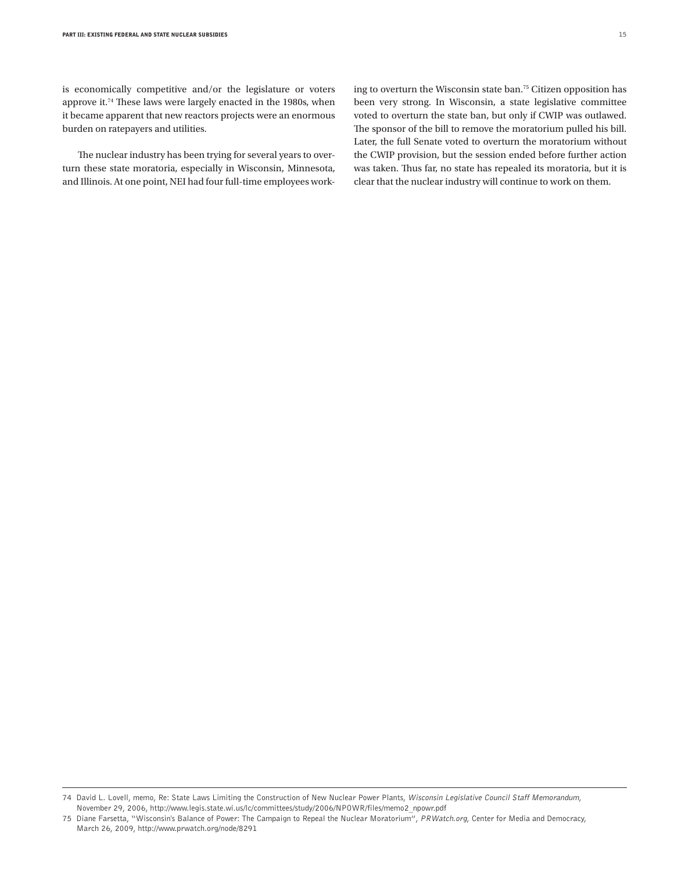is economically competitive and/or the legislature or voters approve it.74 These laws were largely enacted in the 1980s, when it became apparent that new reactors projects were an enormous burden on ratepayers and utilities.

The nuclear industry has been trying for several years to overturn these state moratoria, especially in Wisconsin, Minnesota, and Illinois. At one point, NEI had four full-time employees working to overturn the Wisconsin state ban.75 Citizen opposition has been very strong. In Wisconsin, a state legislative committee voted to overturn the state ban, but only if CWIP was outlawed. The sponsor of the bill to remove the moratorium pulled his bill. Later, the full Senate voted to overturn the moratorium without the CWIP provision, but the session ended before further action was taken. Thus far, no state has repealed its moratoria, but it is clear that the nuclear industry will continue to work on them.

<sup>74</sup> David L. Lovell, memo, Re: State Laws Limiting the Construction of New Nuclear Power Plants, Wisconsin Legislative Council Staff Memorandum, November 29, 2006, http://www.legis.state.wi.us/lc/committees/study/2006/NPOWR/files/memo2\_npowr.pdf

<sup>75</sup> Diane Farsetta, "Wisconsin's Balance of Power: The Campaign to Repeal the Nuclear Moratorium", PRWatch.org, Center for Media and Democracy, March 26, 2009, http://www.prwatch.org/node/8291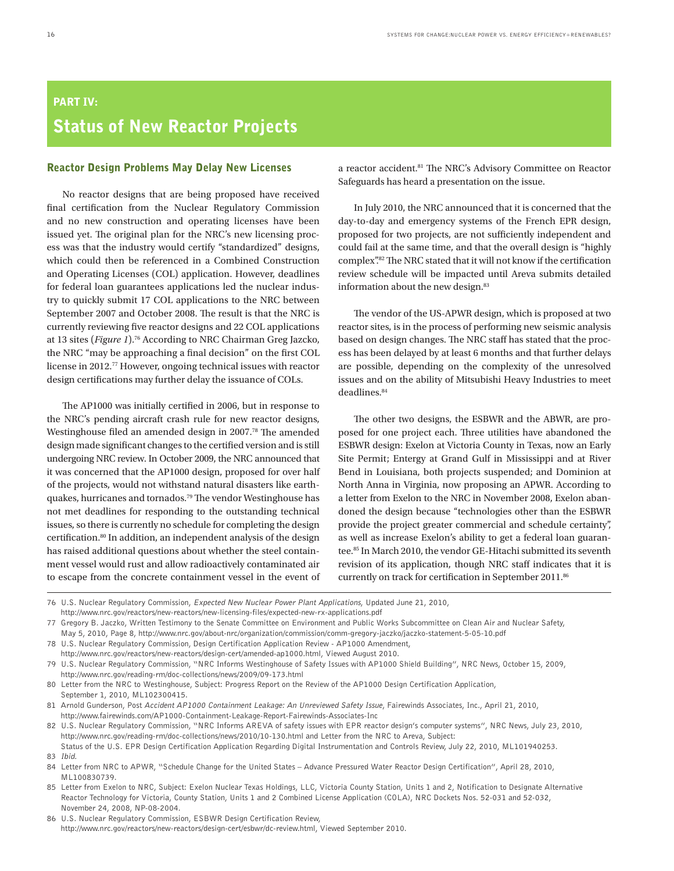# Part IV: Status of New Reactor Projects

### Reactor Design Problems May Delay New Licenses

No reactor designs that are being proposed have received final certification from the Nuclear Regulatory Commission and no new construction and operating licenses have been issued yet. The original plan for the NRC's new licensing process was that the industry would certify "standardized" designs, which could then be referenced in a Combined Construction and Operating Licenses (COL) application. However, deadlines for federal loan guarantees applications led the nuclear industry to quickly submit 17 COL applications to the NRC between September 2007 and October 2008. The result is that the NRC is currently reviewing five reactor designs and 22 COL applications at 13 sites (*Figure 1*).76 According to NRC Chairman Greg Jazcko, the NRC "may be approaching a final decision" on the first COL license in 2012.77 However, ongoing technical issues with reactor design certifications may further delay the issuance of COLs.

The AP1000 was initially certified in 2006, but in response to the NRC's pending aircraft crash rule for new reactor designs, Westinghouse filed an amended design in 2007.78 The amended design made significant changes to the certified version and is still undergoing NRC review. In October 2009, the NRC announced that it was concerned that the AP1000 design, proposed for over half of the projects, would not withstand natural disasters like earthquakes, hurricanes and tornados.79 The vendor Westinghouse has not met deadlines for responding to the outstanding technical issues, so there is currently no schedule for completing the design certification.<sup>80</sup> In addition, an independent analysis of the design has raised additional questions about whether the steel containment vessel would rust and allow radioactively contaminated air to escape from the concrete containment vessel in the event of

a reactor accident.81 The NRC's Advisory Committee on Reactor Safeguards has heard a presentation on the issue.

In July 2010, the NRC announced that it is concerned that the day-to-day and emergency systems of the French EPR design, proposed for two projects, are not sufficiently independent and could fail at the same time, and that the overall design is "highly complex".82 The NRC stated that it will not know if the certification review schedule will be impacted until Areva submits detailed information about the new design.<sup>83</sup>

The vendor of the US-APWR design, which is proposed at two reactor sites, is in the process of performing new seismic analysis based on design changes. The NRC staff has stated that the process has been delayed by at least 6 months and that further delays are possible, depending on the complexity of the unresolved issues and on the ability of Mitsubishi Heavy Industries to meet deadlines.<sup>84</sup>

The other two designs, the ESBWR and the ABWR, are proposed for one project each. Three utilities have abandoned the ESBWR design: Exelon at Victoria County in Texas, now an Early Site Permit; Entergy at Grand Gulf in Mississippi and at River Bend in Louisiana, both projects suspended; and Dominion at North Anna in Virginia, now proposing an APWR. According to a letter from Exelon to the NRC in November 2008, Exelon abandoned the design because "technologies other than the ESBWR provide the project greater commercial and schedule certainty", as well as increase Exelon's ability to get a federal loan guarantee.85 In March 2010, the vendor GE-Hitachi submitted its seventh revision of its application, though NRC staff indicates that it is currently on track for certification in September 2011.86

78 U.S. Nuclear Regulatory Commission, Design Certification Application Review - AP1000 Amendment,

<sup>76</sup> U.S. Nuclear Regulatory Commission, Expected New Nuclear Power Plant Applications, Updated June 21, 2010, http://www.nrc.gov/reactors/new-reactors/new-licensing-files/expected-new-rx-applications.pdf

<sup>77</sup> Gregory B. Jaczko, Written Testimony to the Senate Committee on Environment and Public Works Subcommittee on Clean Air and Nuclear Safety, May 5, 2010, Page 8, http://www.nrc.gov/about-nrc/organization/commission/comm-gregory-jaczko/jaczko-statement-5-05-10.pdf

http://www.nrc.gov/reactors/new-reactors/design-cert/amended-ap1000.html, Viewed August 2010.

<sup>79</sup> U.S. Nuclear Regulatory Commission, "NRC Informs Westinghouse of Safety Issues with AP1000 Shield Building", NRC News, October 15, 2009, http://www.nrc.gov/reading-rm/doc-collections/news/2009/09-173.html

<sup>80</sup> Letter from the NRC to Westinghouse, Subject: Progress Report on the Review of the AP1000 Design Certification Application, September 1, 2010, ML102300415.

<sup>81</sup> Arnold Gunderson, Post Accident AP1000 Containment Leakage: An Unreviewed Safety Issue, Fairewinds Associates, Inc., April 21, 2010, http://www.fairewinds.com/AP1000-Containment-Leakage-Report-Fairewinds-Associates-Inc

<sup>82</sup> U.S. Nuclear Regulatory Commission, "NRC Informs AREVA of safety issues with EPR reactor design's computer systems", NRC News, July 23, 2010, http://www.nrc.gov/reading-rm/doc-collections/news/2010/10-130.html and Letter from the NRC to Areva, Subject:

Status of the U.S. EPR Design Certification Application Regarding Digital Instrumentation and Controls Review, July 22, 2010, ML101940253. 83 Ibid.

<sup>84</sup> Letter from NRC to APWR, "Schedule Change for the United States – Advance Pressured Water Reactor Design Certification", April 28, 2010, ML100830739.

<sup>85</sup> Letter from Exelon to NRC, Subject: Exelon Nuclear Texas Holdings, LLC, Victoria County Station, Units 1 and 2, Notification to Designate Alternative Reactor Technology for Victoria, County Station, Units 1 and 2 Combined License Application (COLA), NRC Dockets Nos. 52-031 and 52-032, November 24, 2008, NP-08-2004.

<sup>86</sup> U.S. Nuclear Regulatory Commission, ESBWR Design Certification Review, http://www.nrc.gov/reactors/new-reactors/design-cert/esbwr/dc-review.html, Viewed September 2010.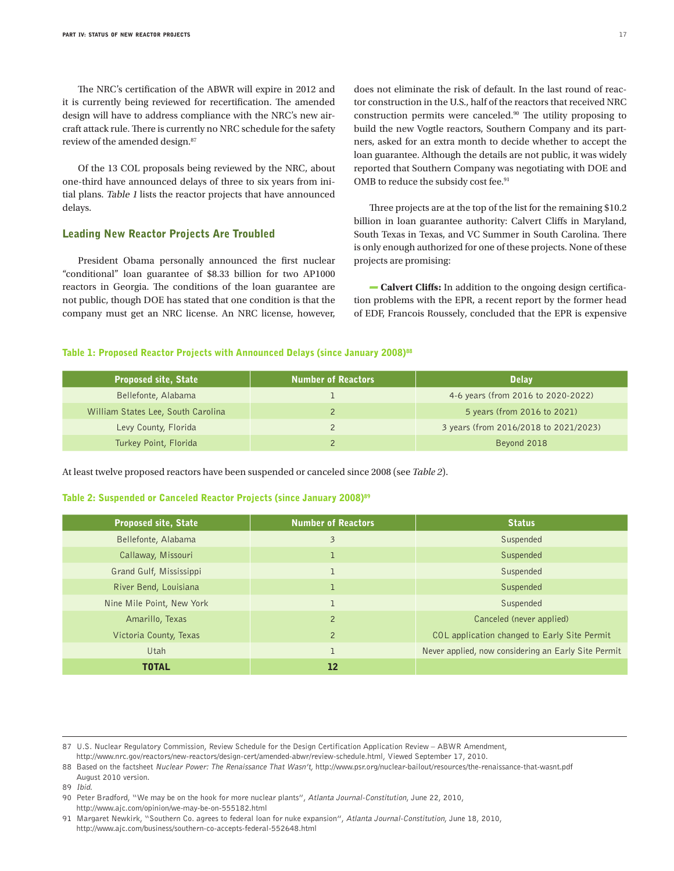The NRC's certification of the ABWR will expire in 2012 and it is currently being reviewed for recertification. The amended design will have to address compliance with the NRC's new aircraft attack rule. There is currently no NRC schedule for the safety review of the amended design.<sup>87</sup>

Of the 13 COL proposals being reviewed by the NRC, about one-third have announced delays of three to six years from initial plans. Table 1 lists the reactor projects that have announced delays.

### Leading New Reactor Projects Are Troubled

President Obama personally announced the first nuclear "conditional" loan guarantee of \$8.33 billion for two AP1000 reactors in Georgia. The conditions of the loan guarantee are not public, though DOE has stated that one condition is that the company must get an NRC license. An NRC license, however,

does not eliminate the risk of default. In the last round of reactor construction in the U.S., half of the reactors that received NRC construction permits were canceled.90 The utility proposing to build the new Vogtle reactors, Southern Company and its partners, asked for an extra month to decide whether to accept the loan guarantee. Although the details are not public, it was widely reported that Southern Company was negotiating with DOE and OMB to reduce the subsidy cost fee.<sup>91</sup>

Three projects are at the top of the list for the remaining \$10.2 billion in loan guarantee authority: Calvert Cliffs in Maryland, South Texas in Texas, and VC Summer in South Carolina. There is only enough authorized for one of these projects. None of these projects are promising:

**Calvert Cliffs:** In addition to the ongoing design certification problems with the EPR, a recent report by the former head of EDF, Francois Roussely, concluded that the EPR is expensive

## Table 1: Proposed Reactor Projects with Announced Delays (since January 2008)<sup>88</sup>

| <b>Proposed site, State</b>        | <b>Number of Reactors</b> | <b>Delay</b>                          |
|------------------------------------|---------------------------|---------------------------------------|
| Bellefonte, Alabama                |                           | 4-6 years (from 2016 to 2020-2022)    |
| William States Lee, South Carolina |                           | 5 years (from 2016 to 2021)           |
| Levy County, Florida               |                           | 3 years (from 2016/2018 to 2021/2023) |
| Turkey Point, Florida              |                           | Beyond 2018                           |

At least twelve proposed reactors have been suspended or canceled since 2008 (see *Table 2*).

#### Table 2: Suspended or Canceled Reactor Projects (since January 2008)<sup>89</sup>

| <b>Proposed site, State</b> | <b>Number of Reactors</b> | <b>Status</b>                                       |
|-----------------------------|---------------------------|-----------------------------------------------------|
| Bellefonte, Alabama         | $\overline{\mathbf{3}}$   | Suspended                                           |
| Callaway, Missouri          |                           | Suspended                                           |
| Grand Gulf, Mississippi     |                           | Suspended                                           |
| River Bend, Louisiana       |                           | Suspended                                           |
| Nine Mile Point, New York   |                           | Suspended                                           |
| Amarillo, Texas             | 2                         | Canceled (never applied)                            |
| Victoria County, Texas      | $\overline{2}$            | COL application changed to Early Site Permit        |
| Utah                        |                           | Never applied, now considering an Early Site Permit |
| <b>TOTAL</b>                | $12 \overline{ }$         |                                                     |

89 Ibid.

<sup>87</sup> U.S. Nuclear Regulatory Commission, Review Schedule for the Design Certification Application Review – ABWR Amendment, http://www.nrc.gov/reactors/new-reactors/design-cert/amended-abwr/review-schedule.html, Viewed September 17, 2010.

<sup>88</sup> Based on the factsheet Nuclear Power: The Renaissance That Wasn't, http://www.psr.org/nuclear-bailout/resources/the-renaissance-that-wasnt.pdf August 2010 version.

<sup>90</sup> Peter Bradford, "We may be on the hook for more nuclear plants", Atlanta Journal-Constitution, June 22, 2010, http://www.ajc.com/opinion/we-may-be-on-555182.html

<sup>91</sup> Margaret Newkirk, "Southern Co. agrees to federal loan for nuke expansion", Atlanta Journal-Constitution, June 18, 2010, http://www.ajc.com/business/southern-co-accepts-federal-552648.html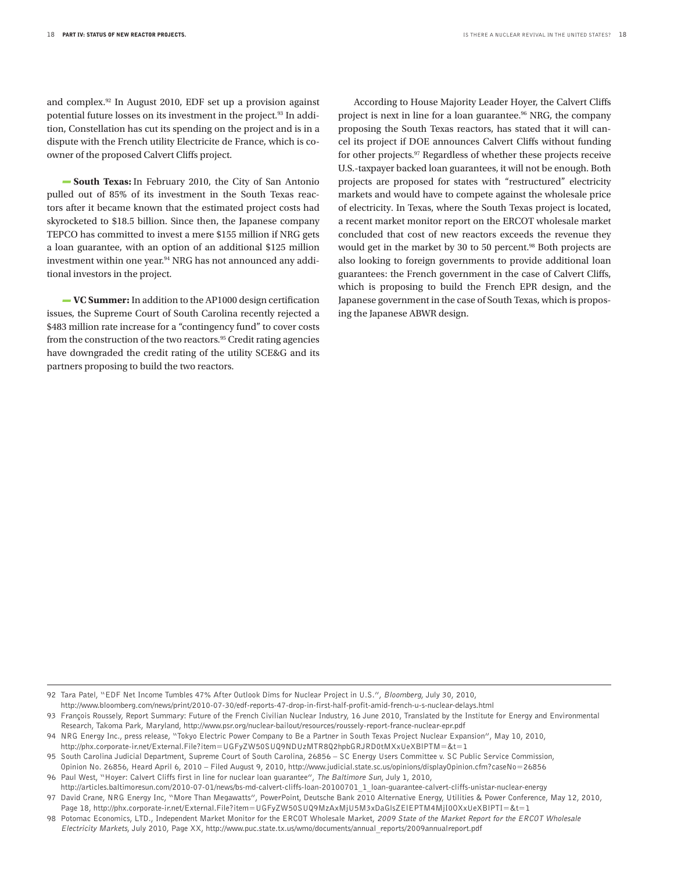and complex.92 In August 2010, EDF set up a provision against potential future losses on its investment in the project.<sup>93</sup> In addition, Constellation has cut its spending on the project and is in a dispute with the French utility Electricite de France, which is coowner of the proposed Calvert Cliffs project.

**South Texas:** In February 2010, the City of San Antonio pulled out of 85% of its investment in the South Texas reactors after it became known that the estimated project costs had skyrocketed to \$18.5 billion. Since then, the Japanese company TEPCO has committed to invest a mere \$155 million if NRG gets a loan guarantee, with an option of an additional \$125 million investment within one year.<sup>94</sup> NRG has not announced any additional investors in the project.

**VC Summer:** In addition to the AP1000 design certification issues, the Supreme Court of South Carolina recently rejected a \$483 million rate increase for a "contingency fund" to cover costs from the construction of the two reactors.<sup>95</sup> Credit rating agencies have downgraded the credit rating of the utility SCE&G and its partners proposing to build the two reactors.

According to House Majority Leader Hoyer, the Calvert Cliffs project is next in line for a loan guarantee.<sup>96</sup> NRG, the company proposing the South Texas reactors, has stated that it will cancel its project if DOE announces Calvert Cliffs without funding for other projects.97 Regardless of whether these projects receive U.S.-taxpayer backed loan guarantees, it will not be enough. Both projects are proposed for states with "restructured" electricity markets and would have to compete against the wholesale price of electricity. In Texas, where the South Texas project is located, a recent market monitor report on the ERCOT wholesale market concluded that cost of new reactors exceeds the revenue they would get in the market by 30 to 50 percent.<sup>98</sup> Both projects are also looking to foreign governments to provide additional loan guarantees: the French government in the case of Calvert Cliffs, which is proposing to build the French EPR design, and the Japanese government in the case of South Texas, which is proposing the Japanese ABWR design.

92 Tara Patel, "EDF Net Income Tumbles 47% After Outlook Dims for Nuclear Project in U.S.", Bloomberg, July 30, 2010, http://www.bloomberg.com/news/print/2010-07-30/edf-reports-47-drop-in-first-half-profit-amid-french-u-s-nuclear-delays.html

93 François Roussely, Report Summary: Future of the French Civilian Nuclear Industry, 16 June 2010, Translated by the Institute for Energy and Environmental Research, Takoma Park, Maryland, http://www.psr.org/nuclear-bailout/resources/roussely-report-france-nuclear-epr.pdf

http://phx.corporate-ir.net/External.File?item=UGFyZW50SUQ9NDUzMTR8Q2hpbGRJRD0tMXxUeXBlPTM=&t=1

<sup>94</sup> NRG Energy Inc., press release, "Tokyo Electric Power Company to Be a Partner in South Texas Project Nuclear Expansion", May 10, 2010,

<sup>95</sup> South Carolina Judicial Department, Supreme Court of South Carolina, 26856 – SC Energy Users Committee v. SC Public Service Commission, Opinion No. 26856, Heard April 6, 2010 – Filed August 9, 2010, http://www.judicial.state.sc.us/opinions/displayOpinion.cfm?caseNo=26856

<sup>96</sup> Paul West, "Hoyer: Calvert Cliffs first in line for nuclear loan guarantee", The Baltimore Sun, July 1, 2010, http://articles.baltimoresun.com/2010-07-01/news/bs-md-calvert-cliffs-loan-20100701\_1\_loan-guarantee-calvert-cliffs-unistar-nuclear-energy

<sup>97</sup> David Crane, NRG Energy Inc, "More Than Megawatts", PowerPoint, Deutsche Bank 2010 Alternative Energy, Utilities & Power Conference, May 12, 2010, Page 18, http://phx.corporate-ir.net/External.File?item=UGFyZW50SUQ9MzAxMjU5M3xDaGlsZElEPTM4MjI0OXxUeXBlPTI=&t=1

<sup>98</sup> Potomac Economics, LTD., Independent Market Monitor for the ERCOT Wholesale Market, 2009 State of the Market Report for the ERCOT Wholesale Electricity Markets, July 2010, Page XX, http://www.puc.state.tx.us/wmo/documents/annual\_reports/2009annualreport.pdf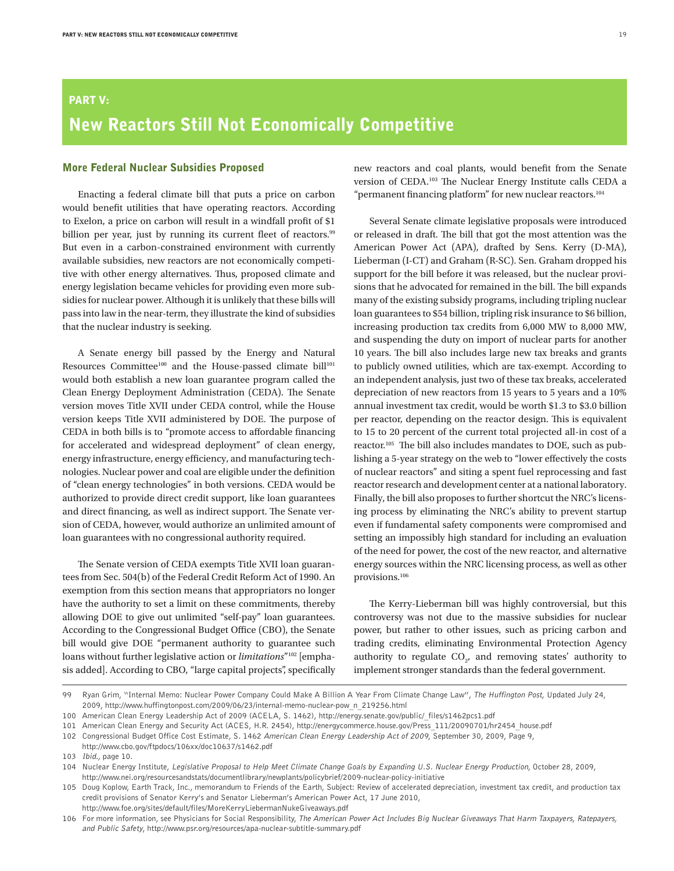# Part V: New Reactors Still Not Economically Competitive

### More Federal Nuclear Subsidies Proposed

Enacting a federal climate bill that puts a price on carbon would benefit utilities that have operating reactors. According to Exelon, a price on carbon will result in a windfall profit of \$1 billion per year, just by running its current fleet of reactors.<sup>99</sup> But even in a carbon-constrained environment with currently available subsidies, new reactors are not economically competitive with other energy alternatives. Thus, proposed climate and energy legislation became vehicles for providing even more subsidies for nuclear power. Although it is unlikely that these bills will pass into law in the near-term, they illustrate the kind of subsidies that the nuclear industry is seeking.

A Senate energy bill passed by the Energy and Natural Resources Committee<sup>100</sup> and the House-passed climate bill<sup>101</sup> would both establish a new loan guarantee program called the Clean Energy Deployment Administration (CEDA). The Senate version moves Title XVII under CEDA control, while the House version keeps Title XVII administered by DOE. The purpose of CEDA in both bills is to "promote access to affordable financing for accelerated and widespread deployment" of clean energy, energy infrastructure, energy efficiency, and manufacturing technologies. Nuclear power and coal are eligible under the definition of "clean energy technologies" in both versions. CEDA would be authorized to provide direct credit support, like loan guarantees and direct financing, as well as indirect support. The Senate version of CEDA, however, would authorize an unlimited amount of loan guarantees with no congressional authority required.

The Senate version of CEDA exempts Title XVII loan guarantees from Sec. 504(b) of the Federal Credit Reform Act of 1990. An exemption from this section means that appropriators no longer have the authority to set a limit on these commitments, thereby allowing DOE to give out unlimited "self-pay" loan guarantees. According to the Congressional Budget Office (CBO), the Senate bill would give DOE "permanent authority to guarantee such loans without further legislative action or *limitations*"102 [emphasis added]. According to CBO, "large capital projects", specifically

new reactors and coal plants, would benefit from the Senate version of CEDA.103 The Nuclear Energy Institute calls CEDA a "permanent financing platform" for new nuclear reactors.<sup>104</sup>

Several Senate climate legislative proposals were introduced or released in draft. The bill that got the most attention was the American Power Act (APA), drafted by Sens. Kerry (D-MA), Lieberman (I-CT) and Graham (R-SC). Sen. Graham dropped his support for the bill before it was released, but the nuclear provisions that he advocated for remained in the bill. The bill expands many of the existing subsidy programs, including tripling nuclear loan guarantees to \$54 billion, tripling risk insurance to \$6 billion, increasing production tax credits from 6,000 MW to 8,000 MW, and suspending the duty on import of nuclear parts for another 10 years. The bill also includes large new tax breaks and grants to publicly owned utilities, which are tax-exempt. According to an independent analysis, just two of these tax breaks, accelerated depreciation of new reactors from 15 years to 5 years and a 10% annual investment tax credit, would be worth \$1.3 to \$3.0 billion per reactor, depending on the reactor design. This is equivalent to 15 to 20 percent of the current total projected all-in cost of a reactor.105 The bill also includes mandates to DOE, such as publishing a 5-year strategy on the web to "lower effectively the costs of nuclear reactors" and siting a spent fuel reprocessing and fast reactor research and development center at a national laboratory. Finally, the bill also proposes to further shortcut the NRC's licensing process by eliminating the NRC's ability to prevent startup even if fundamental safety components were compromised and setting an impossibly high standard for including an evaluation of the need for power, the cost of the new reactor, and alternative energy sources within the NRC licensing process, as well as other provisions.106

The Kerry-Lieberman bill was highly controversial, but this controversy was not due to the massive subsidies for nuclear power, but rather to other issues, such as pricing carbon and trading credits, eliminating Environmental Protection Agency authority to regulate  $CO<sub>2</sub>$ , and removing states' authority to implement stronger standards than the federal government.

<sup>99</sup> Ryan Grim, "Internal Memo: Nuclear Power Company Could Make A Billion A Year From Climate Change Law", The Huffington Post, Updated July 24, 2009, http://www.huffingtonpost.com/2009/06/23/internal-memo-nuclear-pow\_n\_219256.html

<sup>100</sup> American Clean Energy Leadership Act of 2009 (ACELA, S. 1462), http://energy.senate.gov/public/\_files/s1462pcs1.pdf

<sup>101</sup> American Clean Energy and Security Act (ACES, H.R. 2454), http://energycommerce.house.gov/Press\_111/20090701/hr2454\_house.pdf

<sup>102</sup> Congressional Budget Office Cost Estimate, S. 1462 American Clean Energy Leadership Act of 2009, September 30, 2009, Page 9,

http://www.cbo.gov/ftpdocs/106xx/doc10637/s1462.pdf

<sup>103</sup> Ibid., page 10.

<sup>104</sup> Nuclear Energy Institute, Legislative Proposal to Help Meet Climate Change Goals by Expanding U.S. Nuclear Energy Production, October 28, 2009, http://www.nei.org/resourcesandstats/documentlibrary/newplants/policybrief/2009-nuclear-policy-initiative

<sup>105</sup> Doug Koplow, Earth Track, Inc., memorandum to Friends of the Earth, Subject: Review of accelerated depreciation, investment tax credit, and production tax credit provisions of Senator Kerry's and Senator Lieberman's American Power Act, 17 June 2010, http://www.foe.org/sites/default/files/MoreKerryLiebermanNukeGiveaways.pdf

<sup>106</sup> For more information, see Physicians for Social Responsibility, The American Power Act Includes Big Nuclear Giveaways That Harm Taxpayers, Ratepayers, and Public Safety, http://www.psr.org/resources/apa-nuclear-subtitle-summary.pdf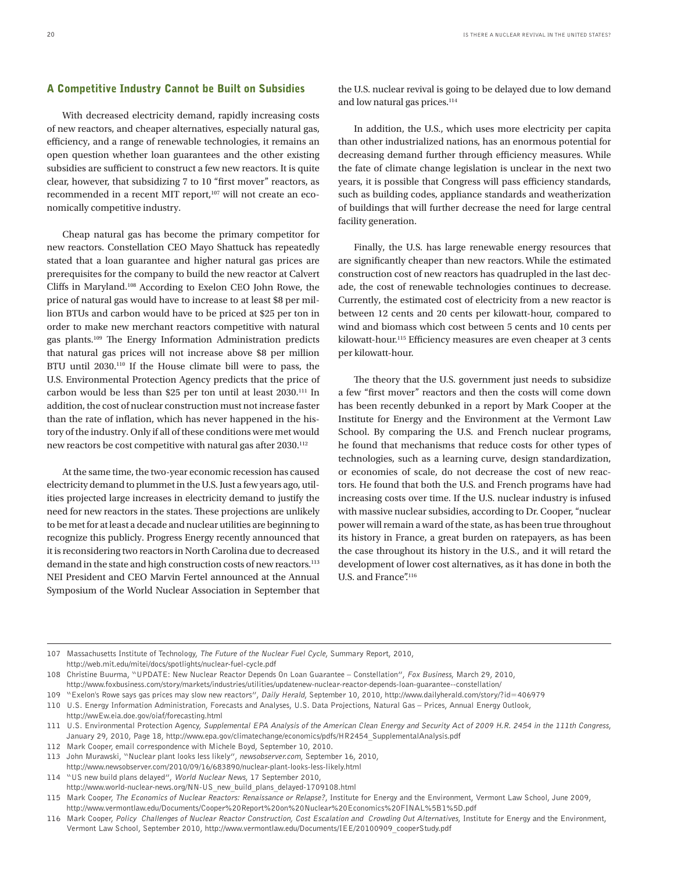### A Competitive Industry Cannot be Built on Subsidies

With decreased electricity demand, rapidly increasing costs of new reactors, and cheaper alternatives, especially natural gas, efficiency, and a range of renewable technologies, it remains an open question whether loan guarantees and the other existing subsidies are sufficient to construct a few new reactors. It is quite clear, however, that subsidizing 7 to 10 "first mover" reactors, as recommended in a recent MIT report,<sup>107</sup> will not create an economically competitive industry.

Cheap natural gas has become the primary competitor for new reactors. Constellation CEO Mayo Shattuck has repeatedly stated that a loan guarantee and higher natural gas prices are prerequisites for the company to build the new reactor at Calvert Cliffs in Maryland.108 According to Exelon CEO John Rowe, the price of natural gas would have to increase to at least \$8 per million BTUs and carbon would have to be priced at \$25 per ton in order to make new merchant reactors competitive with natural gas plants.109 The Energy Information Administration predicts that natural gas prices will not increase above \$8 per million BTU until 2030.<sup>110</sup> If the House climate bill were to pass, the U.S. Environmental Protection Agency predicts that the price of carbon would be less than \$25 per ton until at least 2030.111 In addition, the cost of nuclear construction must not increase faster than the rate of inflation, which has never happened in the history of the industry. Only if all of these conditions were met would new reactors be cost competitive with natural gas after 2030.<sup>112</sup>

At the same time, the two-year economic recession has caused electricity demand to plummet in the U.S. Just a few years ago, utilities projected large increases in electricity demand to justify the need for new reactors in the states. These projections are unlikely to be met for at least a decade and nuclear utilities are beginning to recognize this publicly. Progress Energy recently announced that it is reconsidering two reactors in North Carolina due to decreased demand in the state and high construction costs of new reactors.<sup>113</sup> NEI President and CEO Marvin Fertel announced at the Annual Symposium of the World Nuclear Association in September that

the U.S. nuclear revival is going to be delayed due to low demand and low natural gas prices.<sup>114</sup>

In addition, the U.S., which uses more electricity per capita than other industrialized nations, has an enormous potential for decreasing demand further through efficiency measures. While the fate of climate change legislation is unclear in the next two years, it is possible that Congress will pass efficiency standards, such as building codes, appliance standards and weatherization of buildings that will further decrease the need for large central facility generation.

Finally, the U.S. has large renewable energy resources that are significantly cheaper than new reactors. While the estimated construction cost of new reactors has quadrupled in the last decade, the cost of renewable technologies continues to decrease. Currently, the estimated cost of electricity from a new reactor is between 12 cents and 20 cents per kilowatt-hour, compared to wind and biomass which cost between 5 cents and 10 cents per kilowatt-hour.<sup>115</sup> Efficiency measures are even cheaper at 3 cents per kilowatt-hour.

The theory that the U.S. government just needs to subsidize a few "first mover" reactors and then the costs will come down has been recently debunked in a report by Mark Cooper at the Institute for Energy and the Environment at the Vermont Law School. By comparing the U.S. and French nuclear programs, he found that mechanisms that reduce costs for other types of technologies, such as a learning curve, design standardization, or economies of scale, do not decrease the cost of new reactors. He found that both the U.S. and French programs have had increasing costs over time. If the U.S. nuclear industry is infused with massive nuclear subsidies, according to Dr. Cooper, "nuclear power will remain a ward of the state, as has been true throughout its history in France, a great burden on ratepayers, as has been the case throughout its history in the U.S., and it will retard the development of lower cost alternatives, as it has done in both the U.S. and France".<sup>116</sup>

114 "US new build plans delayed", World Nuclear News, 17 September 2010, http://www.world-nuclear-news.org/NN-US\_new\_build\_plans\_delayed-1709108.html

<sup>107</sup> Massachusetts Institute of Technology, The Future of the Nuclear Fuel Cycle, Summary Report, 2010, http://web.mit.edu/mitei/docs/spotlights/nuclear-fuel-cycle.pdf

<sup>108</sup> Christine Buurma, "UPDATE: New Nuclear Reactor Depends On Loan Guarantee – Constellation", Fox Business, March 29, 2010, http://www.foxbusiness.com/story/markets/industries/utilities/updatenew-nuclear-reactor-depends-loan-guarantee--constellation/

<sup>109</sup> "Exelon's Rowe says gas prices may slow new reactors", Daily Herald, September 10, 2010, http://www.dailyherald.com/story/?id=406979

<sup>110</sup> U.S. Energy Information Administration, Forecasts and Analyses, U.S. Data Projections, Natural Gas – Prices, Annual Energy Outlook, http://wwEw.eia.doe.gov/oiaf/forecasting.html

<sup>111</sup> U.S. Environmental Protection Agency, Supplemental EPA Analysis of the American Clean Energy and Security Act of 2009 H.R. 2454 in the 111th Congress, January 29, 2010, Page 18, http://www.epa.gov/climatechange/economics/pdfs/HR2454\_SupplementalAnalysis.pdf

<sup>112</sup> Mark Cooper, email correspondence with Michele Boyd, September 10, 2010.

<sup>113</sup> John Murawski, "Nuclear plant looks less likely", newsobserver.com, September 16, 2010,

http://www.newsobserver.com/2010/09/16/683890/nuclear-plant-looks-less-likely.html

<sup>115</sup> Mark Cooper, The Economics of Nuclear Reactors: Renaissance or Relapse?, Institute for Energy and the Environment, Vermont Law School, June 2009, http://www.vermontlaw.edu/Documents/Cooper%20Report%20on%20Nuclear%20Economics%20FINAL%5B1%5D.pdf

<sup>116</sup> Mark Cooper, Policy Challenges of Nuclear Reactor Construction, Cost Escalation and Crowding Out Alternatives, Institute for Energy and the Environment, Vermont Law School, September 2010, http://www.vermontlaw.edu/Documents/IEE/20100909\_cooperStudy.pdf